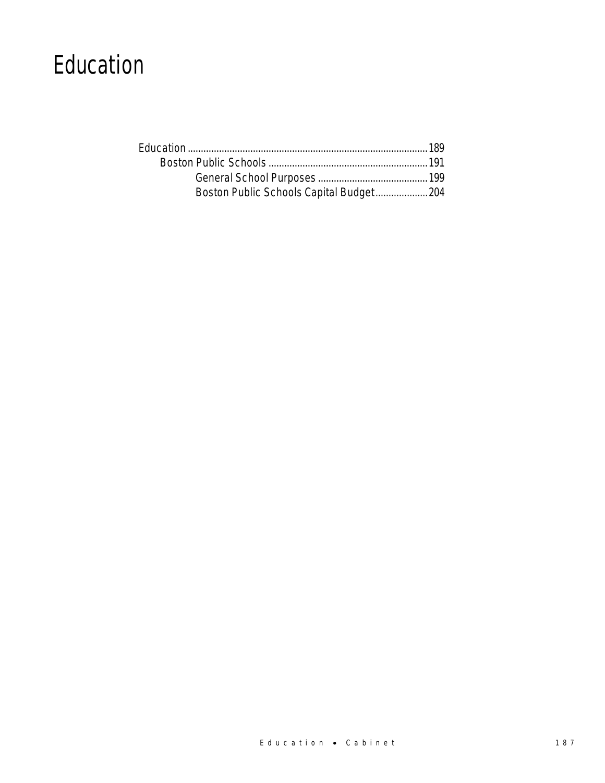## Education

| Boston Public Schools Capital Budget 204 |  |
|------------------------------------------|--|
|                                          |  |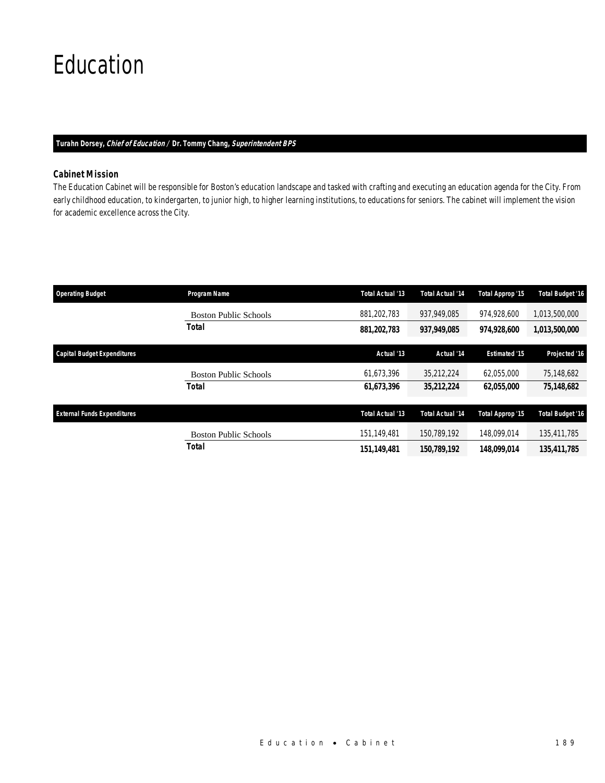# Education

### *Turahn Dorsey, Chief of Education / Dr. Tommy Chang, Superintendent BPS*

## *Cabinet Mission*

The Education Cabinet will be responsible for Boston's education landscape and tasked with crafting and executing an education agenda for the City. From early childhood education, to kindergarten, to junior high, to higher learning institutions, to educations for seniors. The cabinet will implement the vision for academic excellence across the City.

| <b>Operating Budget</b>            | Program Name                 | <b>Total Actual '13</b> | <b>Total Actual '14</b> | Total Approp '15     | <b>Total Budget '16</b> |
|------------------------------------|------------------------------|-------------------------|-------------------------|----------------------|-------------------------|
|                                    | <b>Boston Public Schools</b> | 881,202,783             | 937,949,085             | 974.928.600          | 1,013,500,000           |
|                                    | Total                        | 881,202,783             | 937,949,085             | 974,928,600          | 1,013,500,000           |
| <b>Capital Budget Expenditures</b> |                              | Actual '13              | Actual '14              | <b>Estimated '15</b> | Projected '16           |
|                                    | <b>Boston Public Schools</b> | 61,673,396              | 35,212,224              | 62,055,000           | 75,148,682              |
|                                    | Total                        | 61,673,396              | 35,212,224              | 62,055,000           | 75,148,682              |
| <b>External Funds Expenditures</b> |                              | <b>Total Actual '13</b> | <b>Total Actual '14</b> | Total Approp '15     | <b>Total Budget '16</b> |
|                                    |                              |                         |                         |                      |                         |
|                                    | <b>Boston Public Schools</b> | 151,149,481             | 150.789.192             | 148.099.014          | 135,411,785             |
|                                    | Total                        | 151.149.481             | 150,789,192             | 148.099.014          | 135.411.785             |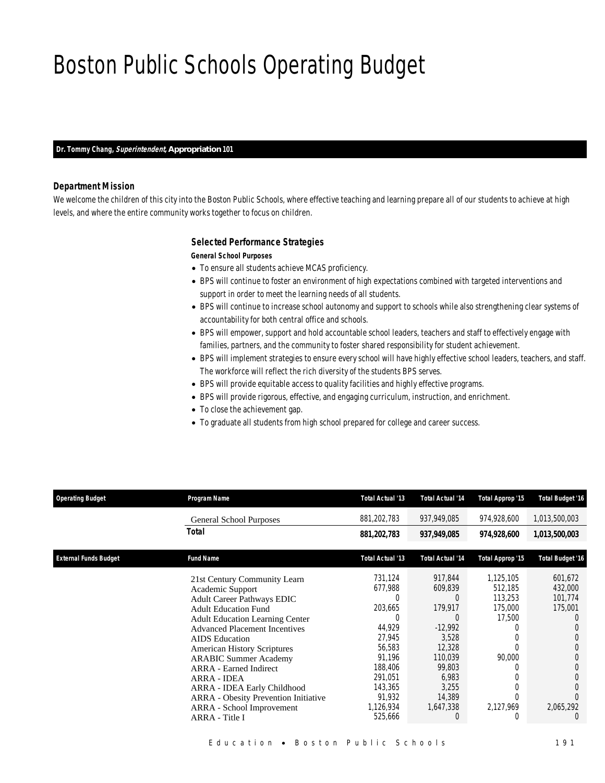# Boston Public Schools Operating Budget

### *Dr. Tommy Chang, Superintendent, Appropriation 101*

### *Department Mission*

We welcome the children of this city into the Boston Public Schools, where effective teaching and learning prepare all of our students to achieve at high levels, and where the entire community works together to focus on children.

### *Selected Performance Strategies*

#### *General School Purposes*

- To ensure all students achieve MCAS proficiency.
- BPS will continue to foster an environment of high expectations combined with targeted interventions and support in order to meet the learning needs of all students.
- BPS will continue to increase school autonomy and support to schools while also strengthening clear systems of accountability for both central office and schools.
- BPS will empower, support and hold accountable school leaders, teachers and staff to effectively engage with families, partners, and the community to foster shared responsibility for student achievement.
- BPS will implement strategies to ensure every school will have highly effective school leaders, teachers, and staff. The workforce will reflect the rich diversity of the students BPS serves.
- BPS will provide equitable access to quality facilities and highly effective programs.
- BPS will provide rigorous, effective, and engaging curriculum, instruction, and enrichment.
- To close the achievement gap.
- To graduate all students from high school prepared for college and career success.

| <b>Operating Budget</b>      | Program Name                                | Total Actual '13 | <b>Total Actual '14</b> | Total Approp '15 | <b>Total Budget '16</b> |
|------------------------------|---------------------------------------------|------------------|-------------------------|------------------|-------------------------|
|                              | <b>General School Purposes</b>              | 881,202,783      | 937,949,085             | 974,928,600      | 1,013,500,003           |
|                              | Total                                       | 881,202,783      | 937,949,085             | 974,928,600      | 1,013,500,003           |
| <b>External Funds Budget</b> | <b>Fund Name</b>                            | Total Actual '13 | <b>Total Actual '14</b> | Total Approp '15 | <b>Total Budget '16</b> |
|                              | 21st Century Community Learn                | 731.124          | 917.844                 | 1.125.105        | 601,672                 |
|                              | Academic Support                            | 677,988          | 609,839                 | 512,185          | 432,000                 |
|                              | <b>Adult Career Pathways EDIC</b>           | 0                | $\Omega$                | 113.253          | 101.774                 |
|                              | <b>Adult Education Fund</b>                 | 203,665          | 179,917                 | 175,000          | 175,001                 |
|                              | <b>Adult Education Learning Center</b>      | $\Omega$         | $\Omega$                | 17,500           | $\left( \right)$        |
|                              | <b>Advanced Placement Incentives</b>        | 44,929           | $-12,992$               |                  |                         |
|                              | <b>AIDS</b> Education                       | 27,945           | 3,528                   |                  |                         |
|                              | <b>American History Scriptures</b>          | 56,583           | 12,328                  |                  |                         |
|                              | <b>ARABIC Summer Academy</b>                | 91,196           | 110,039                 | 90,000           |                         |
|                              | <b>ARRA</b> - Earned Indirect               | 188,406          | 99,803                  |                  |                         |
|                              | <b>ARRA - IDEA</b>                          | 291,051          | 6,983                   |                  |                         |
|                              | ARRA - IDEA Early Childhood                 | 143,365          | 3,255                   |                  |                         |
|                              | <b>ARRA</b> - Obesity Prevention Initiative | 91,932           | 14,389                  |                  |                         |
|                              | ARRA - School Improvement                   | 1,126,934        | 1,647,338               | 2,127,969        | 2,065,292               |
|                              | ARRA - Title I                              | 525,666          | 0                       |                  | $\Omega$                |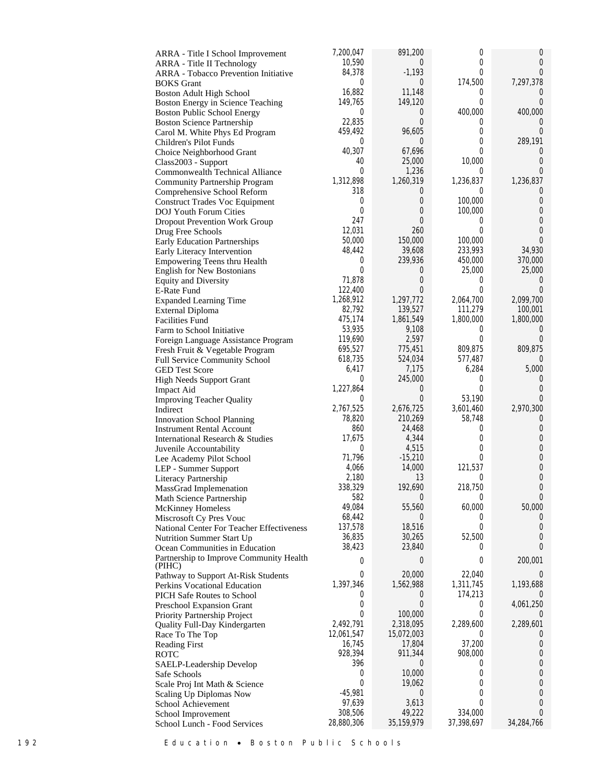| ARRA - Title I School Improvement                      | 7,200,047             | 891,200              | $\boldsymbol{0}$ | 0                            |
|--------------------------------------------------------|-----------------------|----------------------|------------------|------------------------------|
| ARRA - Title II Technology                             | 10,590                | $\overline{0}$       | $\theta$         | 0                            |
| <b>ARRA</b> - Tobacco Prevention Initiative            | 84,378                | $-1,193$             | 0                | $\theta$                     |
| <b>BOKS</b> Grant                                      | 0                     | 0                    | 174,500          | 7,297,378                    |
| Boston Adult High School                               | 16,882                | 11,148               | $\theta$         | $\cup$                       |
| Boston Energy in Science Teaching                      | 149,765               | 149,120              | $\theta$         | $\theta$                     |
| <b>Boston Public School Energy</b>                     | 0                     | 0                    | 400,000          | 400,000                      |
| <b>Boston Science Partnership</b>                      | 22,835                | 0                    | $\bf{0}$<br>0    | $\left( \right)$<br>$\Omega$ |
| Carol M. White Phys Ed Program                         | 459,492<br>0          | 96,605<br>0          | 0                | 289,191                      |
| Children's Pilot Funds                                 | 40,307                | 67,696               | 0                | $\cup$                       |
| Choice Neighborhood Grant                              | 40                    | 25,000               | 10,000           | $\theta$                     |
| Class2003 - Support<br>Commonwealth Technical Alliance | 0                     | 1,236                | $\overline{0}$   | $\Omega$                     |
| Community Partnership Program                          | 1,312,898             | 1,260,319            | 1,236,837        | 1,236,837                    |
| Comprehensive School Reform                            | 318                   | 0                    | 0                | $\cup$                       |
| <b>Construct Trades Voc Equipment</b>                  | 0                     | 0                    | 100,000          | 0                            |
| <b>DOJ</b> Youth Forum Cities                          | 0                     | 0                    | 100,000          | 0                            |
| <b>Dropout Prevention Work Group</b>                   | 247                   | $\mathbf 0$          | 0                | 0                            |
| Drug Free Schools                                      | 12,031                | 260                  | 0                | 0                            |
| Early Education Partnerships                           | 50,000                | 150,000              | 100,000          | $\Omega$                     |
| Early Literacy Intervention                            | 48,442                | 39,608               | 233,993          | 34,930                       |
| Empowering Teens thru Health                           | 0                     | 239,936              | 450,000          | 370,000                      |
| <b>English for New Bostonians</b>                      | 0                     | 0                    | 25,000           | 25,000                       |
| <b>Equity and Diversity</b>                            | 71,878                | 0                    | 0                | $\cup$                       |
| E-Rate Fund                                            | 122,400               | 0                    | $\theta$         | $\Omega$                     |
| <b>Expanded Learning Time</b>                          | 1,268,912             | 1,297,772            | 2,064,700        | 2,099,700                    |
| <b>External Diploma</b>                                | 82,792                | 139,527              | 111,279          | 100,001                      |
| <b>Facilities Fund</b>                                 | 475,174               | 1,861,549            | 1,800,000        | 1,800,000                    |
| Farm to School Initiative                              | 53,935                | 9,108                | $\overline{0}$   | $\cup$                       |
| Foreign Language Assistance Program                    | 119,690               | 2,597                | $\theta$         | $\Omega$                     |
| Fresh Fruit & Vegetable Program                        | 695,527               | 775,451              | 809,875          | 809,875<br>$\Omega$          |
| Full Service Community School                          | 618,735<br>6,417      | 524,034<br>7,175     | 577,487<br>6,284 | 5,000                        |
| <b>GED Test Score</b>                                  | 0                     | 245,000              | 0                | $\cup$                       |
| <b>High Needs Support Grant</b><br>Impact Aid          | 1,227,864             | 0                    | 0                | $\overline{0}$               |
| <b>Improving Teacher Quality</b>                       | 0                     | 0                    | 53,190           | $\Omega$                     |
| Indirect                                               | 2,767,525             | 2,676,725            | 3,601,460        | 2,970,300                    |
| <b>Innovation School Planning</b>                      | 78,820                | 210,269              | 58,748           | $\cup$                       |
| <b>Instrument Rental Account</b>                       | 860                   | 24,468               | 0                | 0                            |
| International Research & Studies                       | 17,675                | 4,344                | 0                | 0                            |
| Juvenile Accountability                                | 0                     | 4,515                | 0                | 0                            |
| Lee Academy Pilot School                               | 71,796                | $-15,210$            | 0                | $\theta$                     |
| LEP - Summer Support                                   | 4,066                 | 14,000               | 121,537          | 0                            |
| Literacy Partnership                                   | 2,180                 | 13                   | 0                | $\mathbf{0}$                 |
| MassGrad Implemenation                                 | 338,329               | 192,690              | 218,750          | $\overline{0}$               |
| Math Science Partnership                               | 582                   | 0                    | $\mathbf 0$      | 0                            |
| McKinney Homeless                                      | 49,084                | 55,560               | 60,000           | 50,000                       |
| Miscrosoft Cy Pres Vouc                                | 68,442                | 0                    | 0                | $\overline{0}$               |
| National Center For Teacher Effectiveness              | 137,578               | 18,516               | 0                | 0                            |
| Nutrition Summer Start Up                              | 36,835                | 30,265               | 52,500           | 0<br>$\theta$                |
| Ocean Communities in Education                         | 38,423                | 23,840               | $\theta$         |                              |
| Partnership to Improve Community Health<br>(PIHC)      | 0                     | 0                    | 0                | 200,001                      |
| Pathway to Support At-Risk Students                    | 0                     | 20,000               | 22,040           | $\cup$                       |
| Perkins Vocational Education                           | 1,397,346             | 1,562,988            | 1,311,745        | 1,193,688                    |
| <b>PICH Safe Routes to School</b>                      | $\cup$                | 0                    | 174,213          |                              |
| Preschool Expansion Grant                              | 0                     | 0                    | 0                | 4,061,250                    |
| Priority Partnership Project                           | 0                     | 100,000              | 0                | $\cup$                       |
| Quality Full-Day Kindergarten                          | 2,492,791             | 2,318,095            | 2,289,600        | 2,289,601                    |
| Race To The Top                                        | 12,061,547            | 15,072,003           | 0                | $\cup$                       |
| <b>Reading First</b>                                   | 16,745                | 17,804               | 37,200           | 0                            |
| ROTC                                                   | 928,394               | 911,344              | 908,000          | 0                            |
| SAELP-Leadership Develop                               | 396                   | 0                    | 0                | $\mathbf 0$                  |
| Safe Schools                                           | 0                     | 10,000               | 0                | $\boldsymbol{0}$             |
| Scale Proj Int Math & Science                          | 0                     | 19,062               | 0                | $\mathbf{0}$                 |
| Scaling Up Diplomas Now                                | $-45,981$             | 0                    | 0                | 0                            |
| School Achievement                                     | 97,639                | 3,613                | 0<br>334,000     | 0<br>$\Omega$                |
| School Improvement                                     | 308,506<br>28,880,306 | 49,222<br>35,159,979 | 37,398,697       | 34,284,766                   |
| School Lunch - Food Services                           |                       |                      |                  |                              |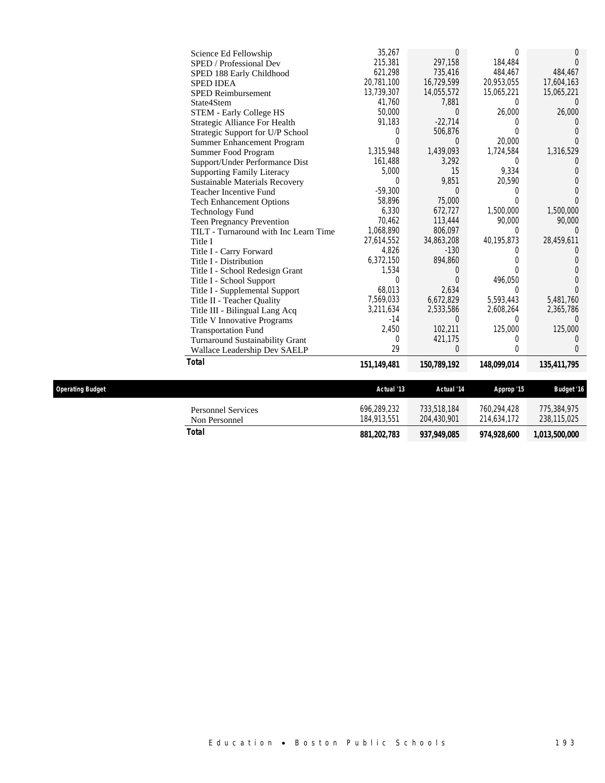|                  | Non Personnel<br><b>Total</b>          | 184,913,551<br>881,202,783 | 204,430,901<br>937,949,085 | 214,634,172<br>974,928,600 | 238,115,025<br>1,013,500,000 |
|------------------|----------------------------------------|----------------------------|----------------------------|----------------------------|------------------------------|
|                  | <b>Personnel Services</b>              | 696,289,232                | 733,518,184                | 760,294,428                | 775,384,975                  |
| Dperating Budget |                                        | Actual '13                 | Actual '14                 | Approp '15                 | <b>Budget '16</b>            |
|                  | <b>Total</b>                           | 151,149,481                | 150,789,192                | 148,099,014                | 135,411,795                  |
|                  | Wallace Leadership Dev SAELP           | 29                         | 0                          | $\theta$                   | 0                            |
|                  | <b>Turnaround Sustainability Grant</b> | $\Omega$                   | 421,175                    | 0                          | 0                            |
|                  | <b>Transportation Fund</b>             | 2,450                      | 102,211                    | 125,000                    | 125,000                      |
|                  | Title V Innovative Programs            | $-14$                      | 0                          | $\Omega$                   | $\Omega$                     |
|                  | Title III - Bilingual Lang Acq         | 3,211,634                  | 2,533,586                  | 2,608,264                  | 2,365,786                    |
|                  | Title II - Teacher Quality             | 7,569,033                  | 6,672,829                  | 5,593,443                  | 5,481,760                    |
|                  | Title I - Supplemental Support         | 68,013                     | 2,634                      | $\Omega$                   | 0                            |
|                  | Title I - School Support               | 0                          | 0                          | 496,050                    | $\Omega$                     |
|                  | Title I - School Redesign Grant        | 1,534                      | $\Omega$                   | 0                          | 0                            |
|                  | Title I - Distribution                 | 6,372,150                  | 894,860                    | 0                          | 0                            |
|                  | Title I - Carry Forward                | 4,826                      | $-130$                     | 0                          | 0                            |
|                  | Title I                                | 27,614,552                 | 34,863,208                 | 40,195,873                 | 28,459,611                   |
|                  | TILT - Turnaround with Inc Learn Time  | 1,068,890                  | 806,097                    | $\Omega$                   | 0                            |
|                  | Teen Pregnancy Prevention              | 70,462                     | 113,444                    | 90,000                     | 90,000                       |
|                  | <b>Technology Fund</b>                 | 6,330                      | 672,727                    | 1,500,000                  | 1,500,000                    |
|                  | <b>Tech Enhancement Options</b>        | 58,896                     | 75,000                     | $\Omega$                   | 0                            |
|                  | <b>Teacher Incentive Fund</b>          | $-59,300$                  | $\Omega$                   | $\Omega$                   | $\Omega$                     |
|                  | Sustainable Materials Recovery         | $\Omega$                   | 9,851                      | 20,590                     | $\Omega$                     |
|                  | <b>Supporting Family Literacy</b>      | 5,000                      | 15                         | 9,334                      | 0                            |
|                  | Support/Under Performance Dist         | 161,488                    | 3,292                      | $\mathbf{0}$               | 0                            |
|                  | Summer Food Program                    | 1,315,948                  | 1,439,093                  | 1,724,584                  | 1,316,529                    |
|                  | Summer Enhancement Program             | $\Omega$                   | 0                          | 20,000                     | 0                            |
|                  | Strategic Support for U/P School       | 0                          | 506,876                    | 0                          | 0                            |
|                  | Strategic Alliance For Health          | 91,183                     | $-22,714$                  | $\Omega$                   | $\Omega$                     |
|                  | STEM - Early College HS                | 50,000                     | $\Omega$                   | 26,000                     | 26,000                       |
|                  | State4Stem                             | 41,760                     | 7,881                      | $\Omega$                   | $\Omega$                     |
|                  | <b>SPED Reimbursement</b>              | 13,739,307                 | 14,055,572                 | 15,065,221                 | 15,065,221                   |
|                  | <b>SPED IDEA</b>                       | 20,781,100                 | 16,729,599                 | 20,953,055                 | 17,604,163                   |
|                  | SPED 188 Early Childhood               | 621,298                    | 735,416                    | 484,467                    | 484,467                      |
|                  | SPED / Professional Dev                | 215,381                    | 297.158                    | 184.484                    | $\Omega$                     |
|                  | Science Ed Fellowship                  | 35,267                     | 0                          | $\theta$                   | 0                            |
|                  |                                        |                            |                            |                            |                              |

 $Operating$  **Budget**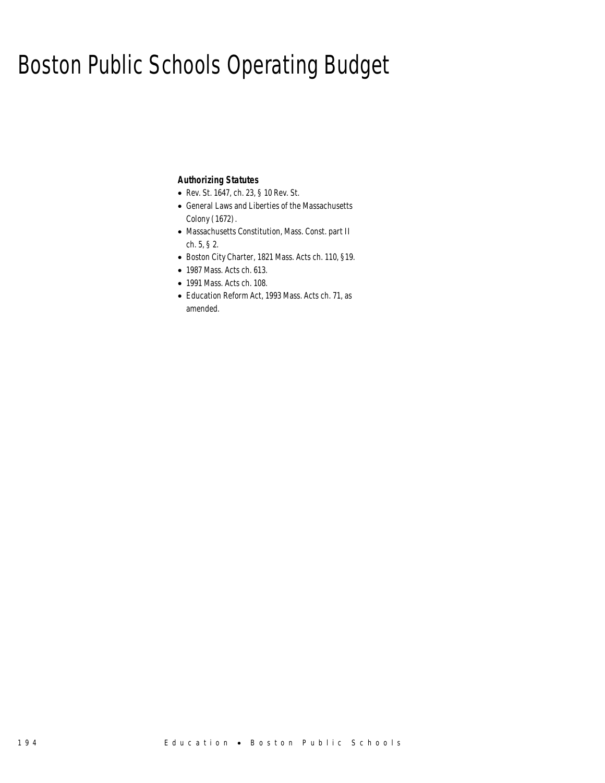## Boston Public Schools Operating Budget

## *Authorizing Statutes*

- Rev. St. 1647, ch. 23, § 10 Rev. St.
- General Laws and Liberties of the Massachusetts Colony (1672).
- Massachusetts Constitution, Mass. Const. part II ch. 5, § 2.
- Boston City Charter, 1821 Mass. Acts ch. 110, §19.
- 1987 Mass. Acts ch. 613.
- 1991 Mass. Acts ch. 108.
- Education Reform Act, 1993 Mass. Acts ch. 71, as amended.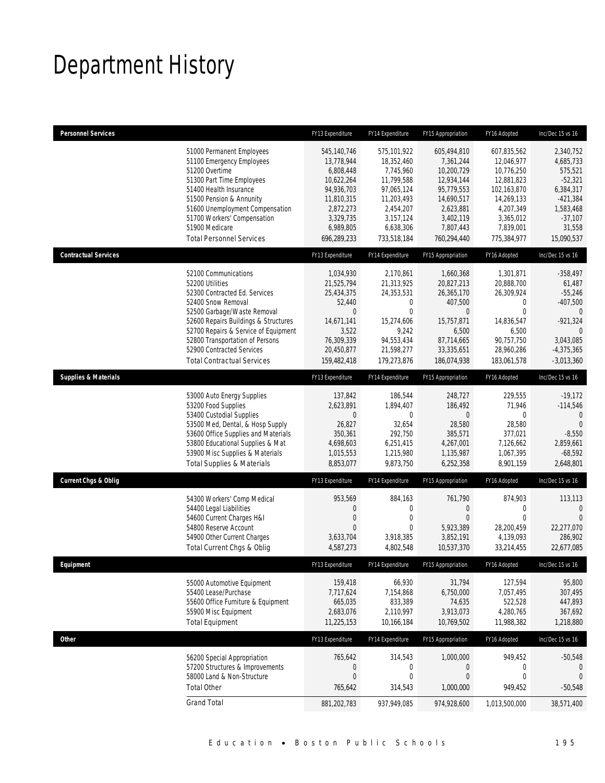# Department History

| <b>Personnel Services</b>       |                                                                     | FY13 Expenditure        | FY14 Expenditure        | FY15 Appropriation      | FY16 Adopted            | Inc/Dec 15 vs 16        |
|---------------------------------|---------------------------------------------------------------------|-------------------------|-------------------------|-------------------------|-------------------------|-------------------------|
|                                 | 51000 Permanent Employees                                           | 545,140,746             | 575,101,922             | 605,494,810             | 607,835,562             | 2,340,752               |
|                                 | 51100 Emergency Employees                                           | 13,778,944              | 18,352,460              | 7,361,244               | 12,046,977              | 4,685,733               |
|                                 | 51200 Overtime                                                      | 6,808,448               | 7,745,960               | 10,200,729              | 10,776,250              | 575,521                 |
|                                 | 51300 Part Time Employees                                           | 10,622,264              | 11,799,588              | 12,934,144              | 12,881,823              | $-52,321$               |
|                                 | 51400 Health Insurance                                              | 94,936,703              | 97,065,124              | 95,779,553              | 102,163,870             | 6,384,317               |
|                                 | 51500 Pension & Annunity<br>51600 Unemployment Compensation         | 11,810,315<br>2,872,273 | 11,203,493<br>2,454,207 | 14,690,517<br>2,623,881 | 14,269,133<br>4,207,349 | $-421,384$<br>1,583,468 |
|                                 | 51700 Workers' Compensation                                         | 3,329,735               | 3, 157, 124             | 3,402,119               | 3,365,012               | $-37,107$               |
|                                 | 51900 Medicare                                                      | 6,989,805               | 6,638,306               | 7,807,443               | 7,839,001               | 31,558                  |
|                                 | <b>Total Personnel Services</b>                                     | 696,289,233             | 733,518,184             | 760,294,440             | 775,384,977             | 15,090,537              |
| <b>Contractual Services</b>     |                                                                     | FY13 Expenditure        | FY14 Expenditure        | FY15 Appropriation      | FY16 Adopted            | Inc/Dec 15 vs 16        |
|                                 |                                                                     |                         |                         |                         |                         |                         |
|                                 | 52100 Communications<br>52200 Utilities                             | 1,034,930<br>21,525,794 | 2,170,861<br>21,313,925 | 1,660,368<br>20,827,213 | 1,301,871<br>20,888,700 | $-358,497$<br>61,487    |
|                                 | 52300 Contracted Ed. Services                                       | 25,434,375              | 24,353,531              | 26,365,170              | 26,309,924              | $-55,246$               |
|                                 | 52400 Snow Removal                                                  | 52,440                  | 0                       | 407,500                 | 0                       | $-407,500$              |
|                                 | 52500 Garbage/Waste Removal                                         | $\overline{0}$          | $\mathbf{0}$            | $\mathbf 0$             | $\mathbf 0$             | $\theta$                |
|                                 | 52600 Repairs Buildings & Structures                                | 14,671,141              | 15,274,606              | 15,757,871              | 14,836,547              | $-921,324$              |
|                                 | 52700 Repairs & Service of Equipment                                | 3,522                   | 9,242                   | 6,500                   | 6,500                   |                         |
|                                 | 52800 Transportation of Persons                                     | 76,309,339              | 94,553,434              | 87,714,665              | 90,757,750              | 3,043,085               |
|                                 | 52900 Contracted Services                                           | 20,450,877              | 21,598,277              | 33,335,651              | 28,960,286              | $-4,375,365$            |
|                                 | <b>Total Contractual Services</b>                                   | 159,482,418             | 179,273,876             | 186,074,938             | 183,061,578             | $-3,013,360$            |
| <b>Supplies &amp; Materials</b> |                                                                     | FY13 Expenditure        | FY14 Expenditure        | FY15 Appropriation      | FY16 Adopted            | Inc/Dec 15 vs 16        |
|                                 | 53000 Auto Energy Supplies                                          | 137,842                 | 186,544                 | 248,727                 | 229,555                 | $-19,172$               |
|                                 | 53200 Food Supplies                                                 | 2,623,891               | 1,894,407               | 186,492                 | 71,946                  | $-114,546$              |
|                                 | 53400 Custodial Supplies                                            | 0                       | 0                       | $\mathbf{0}$            | $\Omega$                | $\mathbf 0$             |
|                                 | 53500 Med, Dental, & Hosp Supply                                    | 26,827                  | 32,654                  | 28,580                  | 28,580                  | $\mathbf{0}$            |
|                                 | 53600 Office Supplies and Materials                                 | 350,361                 | 292,750                 | 385,571                 | 377,021                 | $-8,550$                |
|                                 | 53800 Educational Supplies & Mat<br>53900 Misc Supplies & Materials | 4,698,603<br>1,015,553  | 6,251,415<br>1,215,980  | 4,267,001<br>1,135,987  | 7,126,662<br>1,067,395  | 2,859,661<br>$-68,592$  |
|                                 | <b>Total Supplies &amp; Materials</b>                               | 8,853,077               | 9,873,750               | 6,252,358               | 8,901,159               | 2,648,801               |
| <b>Current Chgs &amp; Oblig</b> |                                                                     | FY13 Expenditure        | FY14 Expenditure        | FY15 Appropriation      | FY16 Adopted            | Inc/Dec 15 vs 16        |
|                                 |                                                                     |                         |                         |                         |                         |                         |
|                                 | 54300 Workers' Comp Medical                                         | 953,569                 | 884,163                 | 761,790                 | 874,903                 | 113,113                 |
|                                 | 54400 Legal Liabilities                                             | 0                       | 0                       | $\mathbf 0$             | 0                       | 0                       |
|                                 | 54600 Current Charges H&I                                           | $\overline{0}$          | $\mathbf{0}$            | $\overline{0}$          | $\mathbf 0$             | $\overline{0}$          |
|                                 | 54800 Reserve Account<br>54900 Other Current Charges                | 0<br>3,633,704          | 0<br>3,918,385          | 5,923,389<br>3,852,191  | 28.200.459<br>4,139,093 | 22,277,070<br>286,902   |
|                                 | Total Current Chgs & Oblig                                          | 4,587,273               | 4,802,548               | 10,537,370              | 33,214,455              | 22,677,085              |
|                                 |                                                                     |                         |                         |                         |                         |                         |
| Equipment                       |                                                                     | FY13 Expenditure        | FY14 Expenditure        | FY15 Appropriation      | FY16 Adopted            | Inc/Dec 15 vs 16        |
|                                 | 55000 Automotive Equipment                                          | 159,418                 | 66,930                  | 31,794                  | 127,594                 | 95,800                  |
|                                 | 55400 Lease/Purchase                                                | 7,717,624               | 7,154,868               | 6,750,000               | 7,057,495               | 307,495                 |
|                                 | 55600 Office Furniture & Equipment                                  | 665,035                 | 833,389                 | 74,635                  | 522,528                 | 447,893                 |
|                                 | 55900 Misc Equipment                                                | 2,683,076               | 2,110,997               | 3,913,073               | 4,280,765               | 367,692                 |
|                                 | <b>Total Equipment</b>                                              | 11,225,153              | 10,166,184              | 10,769,502              | 11,988,382              | 1,218,880               |
| Other                           |                                                                     | FY13 Expenditure        | FY14 Expenditure        | FY15 Appropriation      | FY16 Adopted            | Inc/Dec 15 vs 16        |
|                                 | 56200 Special Appropriation                                         | 765,642                 | 314,543                 | 1,000,000               | 949,452                 | $-50,548$               |
|                                 | 57200 Structures & Improvements                                     | $\boldsymbol{0}$        | $\boldsymbol{0}$        | $\boldsymbol{0}$        | $\boldsymbol{0}$        | $\mathbf 0$             |
|                                 | 58000 Land & Non-Structure                                          | $\boldsymbol{0}$        | $\mathbf 0$             | $\boldsymbol{0}$        | $\boldsymbol{0}$        | $\theta$                |
|                                 | <b>Total Other</b>                                                  | 765,642                 | 314,543                 | 1,000,000               | 949,452                 | $-50,548$               |
|                                 | <b>Grand Total</b>                                                  | 881,202,783             | 937,949,085             | 974,928,600             | 1,013,500,000           | 38,571,400              |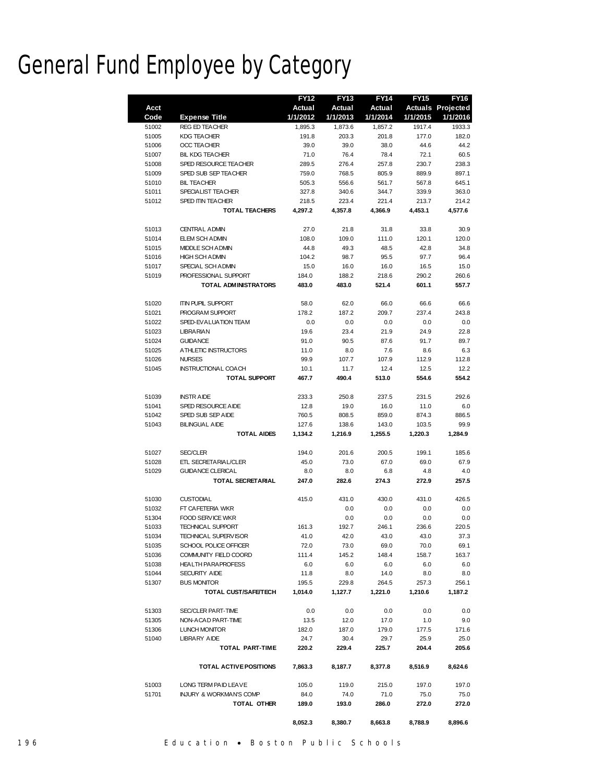# General Fund Employee by Category

|       |                                    | <b>FY12</b> | <b>FY13</b> | <b>FY14</b> | <b>FY15</b> | <b>FY16</b>              |
|-------|------------------------------------|-------------|-------------|-------------|-------------|--------------------------|
| Acct  |                                    | Actual      | Actual      | Actual      |             | <b>Actuals Projected</b> |
| Code  | <b>Expense Title</b>               | 1/1/2012    | 1/1/2013    | 1/1/2014    | 1/1/2015    | 1/1/2016                 |
| 51002 | <b>REG ED TEACHER</b>              | 1,895.3     | 1,873.6     | 1,857.2     | 1917.4      | 1933.3                   |
| 51005 | <b>KDG TEACHER</b>                 | 191.8       | 203.3       | 201.8       | 177.0       | 182.0                    |
| 51006 | <b>OCC TEACHER</b>                 | 39.0        | 39.0        | 38.0        | 44.6        | 44.2                     |
| 51007 | <b>BIL KDG TEACHER</b>             | 71.0        | 76.4        | 78.4        | 72.1        | 60.5                     |
| 51008 | SPED RESOURCE TEACHER              | 289.5       | 276.4       | 257.8       | 230.7       | 238.3                    |
| 51009 | SPED SUB SEP TEACHER               | 759.0       | 768.5       | 805.9       | 889.9       | 897.1                    |
| 51010 | <b>BIL TEACHER</b>                 | 505.3       | 556.6       | 561.7       | 567.8       | 645.1                    |
| 51011 | SPECIALIST TEACHER                 | 327.8       | 340.6       | 344.7       | 339.9       | 363.0                    |
| 51012 | SPED ITIN TEACHER                  | 218.5       | 223.4       | 221.4       | 213.7       | 214.2                    |
|       | <b>TOTAL TEACHERS</b>              | 4,297.2     | 4,357.8     | 4,366.9     | 4,453.1     | 4,577.6                  |
|       |                                    |             |             |             |             |                          |
| 51013 | <b>CENTRAL ADMIN</b>               | 27.0        | 21.8        | 31.8        | 33.8        | 30.9                     |
| 51014 | ELEM SCH ADMIN                     | 108.0       | 109.0       | 111.0       | 120.1       | 120.0                    |
| 51015 | <b>MIDDLE SCH ADMIN</b>            | 44.8        | 49.3        | 48.5        | 42.8        | 34.8                     |
| 51016 | <b>HIGH SCH ADMIN</b>              | 104.2       | 98.7        | 95.5        | 97.7        | 96.4                     |
| 51017 | SPECIAL SCH ADMIN                  | 15.0        | 16.0        | 16.0        | 16.5        | 15.0                     |
| 51019 | PROFESSIONAL SUPPORT               | 184.0       | 188.2       | 218.6       | 290.2       | 260.6                    |
|       | <b>TOTAL ADMINISTRATORS</b>        | 483.0       | 483.0       | 521.4       | 601.1       | 557.7                    |
|       |                                    |             |             |             |             |                          |
| 51020 | <b>ITIN PUPIL SUPPORT</b>          | 58.0        | 62.0        | 66.0        | 66.6        | 66.6                     |
| 51021 | PROGRAM SUPPORT                    | 178.2       | 187.2       | 209.7       | 237.4       | 243.8                    |
| 51022 | SPED-EVALUATION TEAM               | 0.0         | 0.0         | 0.0         | 0.0         | 0.0                      |
| 51023 | <b>LIBRARIAN</b>                   | 19.6        | 23.4        | 21.9        | 24.9        | 22.8                     |
| 51024 | <b>GUIDANCE</b>                    | 91.0        | 90.5        | 87.6        | 91.7        | 89.7                     |
| 51025 | A THLETIC INSTRUCTORS              | 11.0        | 8.0         | 7.6         | 8.6         | 6.3                      |
|       | <b>NURSES</b>                      |             |             |             |             |                          |
| 51026 |                                    | 99.9        | 107.7       | 107.9       | 112.9       | 112.8                    |
| 51045 | <b>INSTRUCTIONAL COACH</b>         | 10.1        | 11.7        | 12.4        | 12.5        | 12.2                     |
|       | <b>TOTAL SUPPORT</b>               | 467.7       | 490.4       | 513.0       | 554.6       | 554.2                    |
| 51039 | <b>INSTRAIDE</b>                   | 233.3       | 250.8       | 237.5       | 231.5       | 292.6                    |
|       |                                    |             |             |             |             |                          |
| 51041 | SPED RESOURCE AIDE                 | 12.8        | 19.0        | 16.0        | 11.0        | 6.0                      |
| 51042 | SPED SUB SEP AIDE                  | 760.5       | 808.5       | 859.0       | 874.3       | 886.5                    |
| 51043 | <b>BILINGUAL AIDE</b>              | 127.6       | 138.6       | 143.0       | 103.5       | 99.9                     |
|       | <b>TOTAL AIDES</b>                 | 1,134.2     | 1,216.9     | 1,255.5     | 1,220.3     | 1,284.9                  |
| 51027 | <b>SEC/CLER</b>                    | 194.0       | 201.6       | 200.5       | 199.1       | 185.6                    |
| 51028 | ETL SECRETARIAL/CLER               | 45.0        | 73.0        | 67.0        | 69.0        | 67.9                     |
| 51029 | <b>GUIDANCE CLERICAL</b>           | 8.0         | 8.0         | 6.8         | 4.8         | 4.0                      |
|       |                                    |             |             |             |             |                          |
|       | <b>TOTAL SECRETARIAL</b>           | 247.0       | 282.6       | 274.3       | 272.9       | 257.5                    |
| 51030 | <b>CUSTODIAL</b>                   | 415.0       | 431.0       | 430.0       | 431.0       | 426.5                    |
| 51032 | FT CAFETERIA WKR                   |             | 0.0         | 0.0         | 0.0         | 0.0                      |
|       |                                    |             |             |             |             |                          |
| 51304 | <b>FOOD SERVICE WKR</b>            | 161.3       | 0.0         | 0.0         | 0.0         | 0.0                      |
| 51033 | <b>TECHNICAL SUPPORT</b>           |             | 192.7       | 246.1       | 236.6       | 220.5                    |
| 51034 | TECHNICAL SUPERVISOR               | 41.0        | 42.0        | 43.0        | 43.0        | 37.3                     |
| 51035 | SCHOOL POLICE OFFICER              | 72.0        | 73.0        | 69.0        | 70.0        | 69.1                     |
| 51036 | COMMUNITY FIELD COORD              | 111.4       | 145.2       | 148.4       | 158.7       | 163.7                    |
| 51038 | <b>HEALTH PARAPROFESS</b>          | 6.0         | 6.0         | 6.0         | 6.0         | 6.0                      |
| 51044 | <b>SECURITY AIDE</b>               | 11.8        | 8.0         | 14.0        | 8.0         | 8.0                      |
| 51307 | <b>BUS MONITOR</b>                 | 195.5       | 229.8       | 264.5       | 257.3       | 256.1                    |
|       | TOTAL CUST/SAFE/TECH               | 1,014.0     | 1,127.7     | 1,221.0     | 1,210.6     | 1,187.2                  |
|       |                                    |             |             |             |             |                          |
| 51303 | SEC/CLER PART-TIME                 | 0.0         | 0.0         | 0.0         | 0.0         | 0.0                      |
| 51305 | NON-ACAD PART-TIME                 | 13.5        | 12.0        | 17.0        | 1.0         | 9.0                      |
| 51306 | <b>LUNCH MONITOR</b>               | 182.0       | 187.0       | 179.0       | 177.5       | 171.6                    |
| 51040 | <b>LIBRARY AIDE</b>                | 24.7        | 30.4        | 29.7        | 25.9        | 25.0                     |
|       | TOTAL PART-TIME                    | 220.2       | 229.4       | 225.7       | 204.4       | 205.6                    |
|       |                                    |             |             |             |             |                          |
|       | TOTAL ACTIVE POSITIONS             | 7,863.3     | 8,187.7     | 8,377.8     | 8,516.9     | 8,624.6                  |
| 51003 | LONG TERM PAID LEAVE               | 105.0       | 119.0       | 215.0       | 197.0       | 197.0                    |
| 51701 | <b>INJURY &amp; WORKMAN'S COMP</b> | 84.0        | 74.0        | 71.0        | 75.0        | 75.0                     |
|       |                                    | 189.0       |             | 286.0       |             |                          |
|       | TOTAL OTHER                        |             | 193.0       |             | 272.0       | 272.0                    |
|       |                                    | 8,052.3     | 8,380.7     | 8,663.8     | 8,788.9     | 8,896.6                  |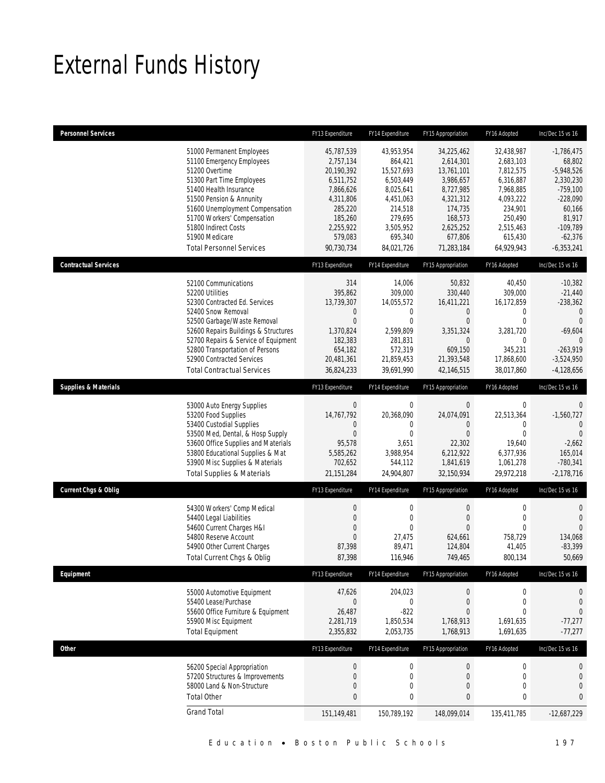# External Funds History

| <b>Personnel Services</b>       |                                                                                                                                                                                                                                                                                                                    | FY13 Expenditure                                                                                                                         | FY14 Expenditure                                                                                                                       | FY15 Appropriation                                                                                                                       | FY16 Adopted                                                                                                                            | Inc/Dec 15 vs 16                                                                                                                               |
|---------------------------------|--------------------------------------------------------------------------------------------------------------------------------------------------------------------------------------------------------------------------------------------------------------------------------------------------------------------|------------------------------------------------------------------------------------------------------------------------------------------|----------------------------------------------------------------------------------------------------------------------------------------|------------------------------------------------------------------------------------------------------------------------------------------|-----------------------------------------------------------------------------------------------------------------------------------------|------------------------------------------------------------------------------------------------------------------------------------------------|
|                                 | 51000 Permanent Employees<br>51100 Emergency Employees<br>51200 Overtime<br>51300 Part Time Employees<br>51400 Health Insurance<br>51500 Pension & Annunity<br>51600 Unemployment Compensation<br>51700 Workers' Compensation<br>51800 Indirect Costs<br>51900 Medicare<br><b>Total Personnel Services</b>         | 45,787,539<br>2,757,134<br>20,190,392<br>6,511,752<br>7,866,626<br>4,311,806<br>285,220<br>185,260<br>2,255,922<br>579,083<br>90,730,734 | 43,953,954<br>864,421<br>15,527,693<br>6,503,449<br>8,025,641<br>4,451,063<br>214,518<br>279,695<br>3,505,952<br>695,340<br>84,021,726 | 34,225,462<br>2,614,301<br>13,761,101<br>3,986,657<br>8,727,985<br>4,321,312<br>174,735<br>168,573<br>2,625,252<br>677,806<br>71,283,184 | 32,438,987<br>2,683,103<br>7,812,575<br>6,316,887<br>7,968,885<br>4,093,222<br>234,901<br>250,490<br>2,515,463<br>615,430<br>64,929,943 | $-1,786,475$<br>68,802<br>$-5,948,526$<br>2,330,230<br>$-759,100$<br>$-228,090$<br>60,166<br>81,917<br>$-109,789$<br>$-62,376$<br>$-6,353,241$ |
| <b>Contractual Services</b>     |                                                                                                                                                                                                                                                                                                                    | FY13 Expenditure                                                                                                                         | FY14 Expenditure                                                                                                                       | FY15 Appropriation                                                                                                                       | FY16 Adopted                                                                                                                            | Inc/Dec 15 vs 16                                                                                                                               |
|                                 | 52100 Communications<br>52200 Utilities<br>52300 Contracted Ed. Services<br>52400 Snow Removal<br>52500 Garbage/Waste Removal<br>52600 Repairs Buildings & Structures<br>52700 Repairs & Service of Equipment<br>52800 Transportation of Persons<br>52900 Contracted Services<br><b>Total Contractual Services</b> | 314<br>395,862<br>13,739,307<br>$\mathbf 0$<br>$\mathbf{0}$<br>1,370,824<br>182,383<br>654,182<br>20,481,361<br>36,824,233               | 14,006<br>309,000<br>14,055,572<br>$\mathbf 0$<br>$\mathbf{0}$<br>2,599,809<br>281,831<br>572,319<br>21,859,453<br>39,691,990          | 50,832<br>330,440<br>16,411,221<br>$\theta$<br>$\overline{0}$<br>3,351,324<br>$\theta$<br>609,150<br>21,393,548<br>42,146,515            | 40,450<br>309,000<br>16,172,859<br>0<br>$\mathbf 0$<br>3,281,720<br>0<br>345,231<br>17,868,600<br>38,017,860                            | $-10,382$<br>$-21,440$<br>$-238,362$<br>$\mathbf{0}$<br>$\theta$<br>$-69,604$<br>$\Omega$<br>$-263,919$<br>$-3,524,950$<br>$-4,128,656$        |
| <b>Supplies &amp; Materials</b> |                                                                                                                                                                                                                                                                                                                    | FY13 Expenditure                                                                                                                         | FY14 Expenditure                                                                                                                       | FY15 Appropriation                                                                                                                       | FY16 Adopted                                                                                                                            | Inc/Dec 15 vs 16                                                                                                                               |
|                                 | 53000 Auto Energy Supplies<br>53200 Food Supplies<br>53400 Custodial Supplies<br>53500 Med, Dental, & Hosp Supply<br>53600 Office Supplies and Materials<br>53800 Educational Supplies & Mat<br>53900 Misc Supplies & Materials<br><b>Total Supplies &amp; Materials</b>                                           | $\mathbf 0$<br>14,767,792<br>0<br>$\overline{0}$<br>95,578<br>5,585,262<br>702,652<br>21,151,284                                         | $\mathbf 0$<br>20,368,090<br>0<br>$\mathbf{0}$<br>3,651<br>3,988,954<br>544,112<br>24,904,807                                          | $\boldsymbol{0}$<br>24,074,091<br>$\theta$<br>$\overline{0}$<br>22,302<br>6,212,922<br>1,841,619<br>32,150,934                           | 0<br>22,513,364<br>0<br>$\mathbf 0$<br>19,640<br>6,377,936<br>1,061,278<br>29,972,218                                                   | $\mathbf 0$<br>$-1,560,727$<br>$\mathbf{0}$<br>$\mathbf{0}$<br>$-2,662$<br>165,014<br>$-780,341$<br>$-2,178,716$                               |
| <b>Current Chgs &amp; Oblig</b> |                                                                                                                                                                                                                                                                                                                    | FY13 Expenditure                                                                                                                         | FY14 Expenditure                                                                                                                       | FY15 Appropriation                                                                                                                       | FY16 Adopted                                                                                                                            | Inc/Dec 15 vs 16                                                                                                                               |
|                                 | 54300 Workers' Comp Medical<br>54400 Legal Liabilities<br>54600 Current Charges H&I<br>54800 Reserve Account<br>54900 Other Current Charges<br>Total Current Chgs & Oblig                                                                                                                                          | $\boldsymbol{0}$<br>$\mathbf 0$<br>$\overline{0}$<br>$\boldsymbol{0}$<br>87,398<br>87,398                                                | $\mathbf 0$<br>$\mathbf{0}$<br>$\theta$<br>27,475<br>89,471<br>116,946                                                                 | $\boldsymbol{0}$<br>$\mathbf 0$<br>$\overline{0}$<br>624,661<br>124,804<br>749,465                                                       | $\boldsymbol{0}$<br>$\boldsymbol{0}$<br>$\theta$<br>758,729<br>41,405<br>800,134                                                        | $\mathbf 0$<br>$\mathbf{0}$<br>$\overline{0}$<br>134,068<br>$-83,399$<br>50,669                                                                |
| Equipment                       |                                                                                                                                                                                                                                                                                                                    | FY13 Expenditure                                                                                                                         | FY14 Expenditure                                                                                                                       | FY15 Appropriation                                                                                                                       | FY16 Adopted                                                                                                                            | Inc/Dec 15 vs 16                                                                                                                               |
|                                 | 55000 Automotive Equipment<br>55400 Lease/Purchase<br>55600 Office Furniture & Equipment<br>55900 Misc Equipment<br><b>Total Equipment</b>                                                                                                                                                                         | 47,626<br>$\mathbf 0$<br>26,487<br>2,281,719<br>2,355,832                                                                                | 204,023<br>$\bf 0$<br>$-822$<br>1,850,534<br>2,053,735                                                                                 | $\boldsymbol{0}$<br>$\mathbf 0$<br>$\theta$<br>1,768,913<br>1,768,913                                                                    | $\boldsymbol{0}$<br>$\boldsymbol{0}$<br>0<br>1,691,635<br>1,691,635                                                                     | 0<br>$\mathbf{0}$<br>$\mathbf 0$<br>$-77,277$<br>$-77,277$                                                                                     |
| Other                           |                                                                                                                                                                                                                                                                                                                    | FY13 Expenditure                                                                                                                         | FY14 Expenditure                                                                                                                       | FY15 Appropriation                                                                                                                       | FY16 Adopted                                                                                                                            | Inc/Dec 15 vs 16                                                                                                                               |
|                                 | 56200 Special Appropriation<br>57200 Structures & Improvements<br>58000 Land & Non-Structure<br><b>Total Other</b>                                                                                                                                                                                                 | $\boldsymbol{0}$<br>$\mathbf 0$<br>0<br>$\bf{0}$                                                                                         | $\pmb{0}$<br>$\mathbf 0$<br>$\boldsymbol{0}$<br>$\pmb{0}$                                                                              | $\boldsymbol{0}$<br>$\mathbf 0$<br>$\boldsymbol{0}$<br>$\bf{0}$                                                                          | $\boldsymbol{0}$<br>$\boldsymbol{0}$<br>0<br>$\pmb{0}$                                                                                  | 0<br>$\boldsymbol{0}$<br>$\mathbf 0$<br>$\bf{0}$                                                                                               |
|                                 | <b>Grand Total</b>                                                                                                                                                                                                                                                                                                 | 151,149,481                                                                                                                              | 150,789,192                                                                                                                            | 148,099,014                                                                                                                              | 135,411,785                                                                                                                             | $-12,687,229$                                                                                                                                  |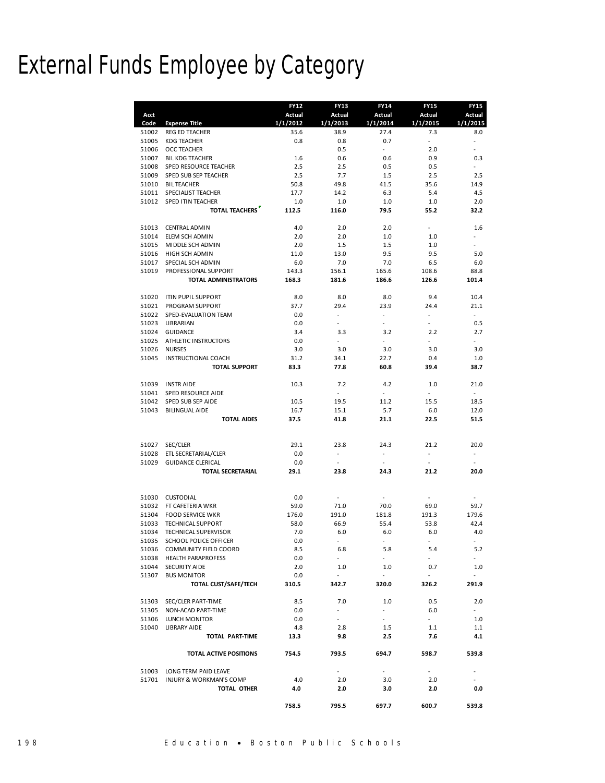# External Funds Employee by Category

|       |                                    | <b>FY12</b>   | <b>FY13</b>              | <b>FY14</b>              | <b>FY15</b> | <b>FY15</b>               |
|-------|------------------------------------|---------------|--------------------------|--------------------------|-------------|---------------------------|
| Acct  |                                    | <b>Actual</b> | <b>Actual</b>            | Actual                   | Actual      | <b>Actual</b>             |
| Code  | <b>Expense Title</b>               | 1/1/2012      | 1/1/2013                 | 1/1/2014                 | 1/1/2015    | 1/1/2015                  |
| 51002 | REG ED TEACHER                     | 35.6          | 38.9                     | 27.4                     | 7.3         | 8.0                       |
| 51005 | <b>KDG TEACHER</b>                 | 0.8           | 0.8                      | 0.7                      | ÷.          | $\overline{\phantom{a}}$  |
| 51006 | <b>OCC TEACHER</b>                 |               | 0.5                      | $\omega$                 | 2.0         | ÷.                        |
| 51007 | <b>BIL KDG TEACHER</b>             | 1.6           | 0.6                      | 0.6                      | 0.9         | 0.3                       |
| 51008 | SPED RESOURCE TEACHER              | 2.5           | 2.5                      | 0.5                      | 0.5         | ٠                         |
| 51009 | SPED SUB SEP TEACHER               | 2.5           | 7.7                      | 1.5                      | 2.5         | 2.5                       |
| 51010 | <b>BILTEACHER</b>                  | 50.8          | 49.8                     | 41.5                     | 35.6        | 14.9                      |
| 51011 | SPECIALIST TEACHER                 | 17.7          | 14.2                     | 6.3                      | 5.4         | 4.5                       |
| 51012 | SPED ITIN TEACHER                  | 1.0           | 1.0                      | 1.0                      | 1.0         | 2.0                       |
|       | <b>TOTAL TEACHERS</b>              | 112.5         | 116.0                    | 79.5                     | 55.2        | 32.2                      |
|       |                                    |               |                          |                          |             |                           |
| 51013 | CENTRAL ADMIN                      | 4.0           | 2.0                      | 2.0                      |             | 1.6                       |
| 51014 | ELEM SCH ADMIN                     | 2.0           | 2.0                      | 1.0                      | 1.0         |                           |
|       |                                    |               | 1.5                      | 1.5                      | 1.0         |                           |
| 51015 | MIDDLE SCH ADMIN                   | 2.0           |                          |                          |             |                           |
| 51016 | HIGH SCH ADMIN                     | 11.0          | 13.0                     | 9.5                      | 9.5         | 5.0                       |
| 51017 | SPECIAL SCH ADMIN                  | 6.0           | 7.0                      | 7.0                      | 6.5         | 6.0                       |
| 51019 | PROFESSIONAL SUPPORT               | 143.3         | 156.1                    | 165.6                    | 108.6       | 88.8                      |
|       | TOTAL ADMINISTRATORS               | 168.3         | 181.6                    | 186.6                    | 126.6       | 101.4                     |
|       |                                    |               |                          |                          |             |                           |
| 51020 | <b>ITIN PUPIL SUPPORT</b>          | 8.0           | 8.0                      | 8.0                      | 9.4         | 10.4                      |
| 51021 | PROGRAM SUPPORT                    | 37.7          | 29.4                     | 23.9                     | 24.4        | 21.1                      |
| 51022 | SPED-EVALUATION TEAM               | 0.0           | $\omega$                 | $\sim$                   | $\sim$      | $\mathbb{Z}^{\mathbb{Z}}$ |
| 51023 | LIBRARIAN                          | 0.0           |                          |                          |             | 0.5                       |
| 51024 | <b>GUIDANCE</b>                    | 3.4           | 3.3                      | 3.2                      | 2.2         | 2.7                       |
| 51025 | ATHLETIC INSTRUCTORS               | 0.0           | ÷,                       | ÷,                       | ÷.          | $\overline{a}$            |
| 51026 | <b>NURSES</b>                      | 3.0           | 3.0                      | 3.0                      | 3.0         | 3.0                       |
| 51045 | INSTRUCTIONAL COACH                | 31.2          | 34.1                     | 22.7                     | 0.4         | 1.0                       |
|       | <b>TOTAL SUPPORT</b>               | 83.3          | 77.8                     | 60.8                     | 39.4        | 38.7                      |
|       |                                    |               |                          |                          |             |                           |
| 51039 | <b>INSTRAIDE</b>                   | 10.3          | 7.2                      | 4.2                      | 1.0         | 21.0                      |
| 51041 | <b>SPED RESOURCE AIDE</b>          |               | $\overline{\phantom{a}}$ | $\overline{\phantom{a}}$ |             |                           |
| 51042 | SPED SUB SEP AIDE                  | 10.5          | 19.5                     | 11.2                     | 15.5        | 18.5                      |
| 51043 | <b>BILINGUAL AIDE</b>              | 16.7          | 15.1                     | 5.7                      | 6.0         | 12.0                      |
|       | <b>TOTAL AIDES</b>                 | 37.5          | 41.8                     | 21.1                     | 22.5        | 51.5                      |
|       |                                    |               |                          |                          |             |                           |
|       |                                    |               |                          |                          |             |                           |
| 51027 | SEC/CLER                           | 29.1          | 23.8                     | 24.3                     | 21.2        | 20.0                      |
| 51028 | ETL SECRETARIAL/CLER               | 0.0           | $\overline{\phantom{a}}$ | $\overline{\phantom{a}}$ | ÷,          |                           |
| 51029 | <b>GUIDANCE CLERICAL</b>           | 0.0           | $\overline{\phantom{a}}$ | $\sim$                   | $\sim$      |                           |
|       | <b>TOTAL SECRETARIAL</b>           | 29.1          | 23.8                     | 24.3                     | 21.2        | 20.0                      |
|       |                                    |               |                          |                          |             |                           |
|       |                                    |               |                          |                          |             |                           |
| 51030 | <b>CUSTODIAL</b>                   | 0.0           | $\overline{a}$           |                          |             |                           |
| 51032 | FT CAFETERIA WKR                   | 59.0          | 71.0                     | 70.0                     | 69.0        | 59.7                      |
| 51304 | <b>FOOD SERVICE WKR</b>            | 176.0         | 191.0                    | 181.8                    | 191.3       | 179.6                     |
| 51033 | <b>TECHNICAL SUPPORT</b>           | 58.0          | 66.9                     | 55.4                     | 53.8        | 42.4                      |
| 51034 | TECHNICAL SUPERVISOR               | 7.0           | 6.0                      | 6.0                      | 6.0         | 4.0                       |
| 51035 | <b>SCHOOL POLICE OFFICER</b>       | 0.0           |                          |                          |             |                           |
|       |                                    |               | 6.8                      | 5.8                      |             | 5.2                       |
|       | 51036 COMMUNITY FIELD COORD        | 8.5           | $\sim$                   | $\sim$                   | 5.4         |                           |
|       | 51038 HEALTH PARAPROFESS           | $0.0\,$       |                          |                          |             |                           |
| 51044 | SECURITY AIDE                      | 2.0           | 1.0                      | 1.0                      | 0.7         | 1.0                       |
| 51307 | <b>BUS MONITOR</b>                 | 0.0           | ÷.                       |                          | $\omega$    |                           |
|       | TOTAL CUST/SAFE/TECH               | 310.5         | 342.7                    | 320.0                    | 326.2       | 291.9                     |
|       |                                    |               |                          |                          |             |                           |
| 51303 | SEC/CLER PART-TIME                 | 8.5           | 7.0                      | 1.0                      | 0.5         | 2.0                       |
| 51305 | NON-ACAD PART-TIME                 | 0.0           | $\sim$                   | $\sim$                   | 6.0         | ÷.                        |
| 51306 | LUNCH MONITOR                      | 0.0           | $\sim$                   | $\sim$                   | a.          | $1.0\,$                   |
| 51040 | LIBRARY AIDE                       | 4.8           | 2.8                      | 1.5                      | $1.1\,$     | 1.1                       |
|       | TOTAL PART-TIME                    | 13.3          | 9.8                      | 2.5                      | 7.6         | 4.1                       |
|       |                                    |               |                          |                          |             |                           |
|       | TOTAL ACTIVE POSITIONS             | 754.5         | 793.5                    | 694.7                    | 598.7       | 539.8                     |
|       |                                    |               |                          |                          |             |                           |
| 51003 | LONG TERM PAID LEAVE               |               | $\blacksquare$           | $\sim$                   | ÷.          |                           |
| 51701 | <b>INJURY &amp; WORKMAN'S COMP</b> | 4.0           | 2.0                      | 3.0                      | 2.0         |                           |
|       | TOTAL OTHER                        | 4.0           | 2.0                      | 3.0                      | 2.0         | 0.0                       |
|       |                                    |               |                          |                          |             |                           |
|       |                                    | 758.5         | 795.5                    | 697.7                    | 600.7       | 539.8                     |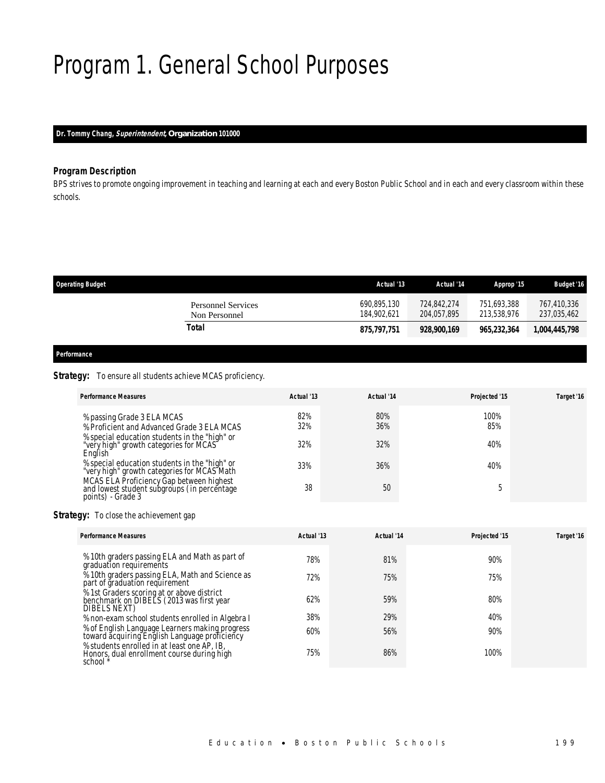# Program 1. General School Purposes

## *Dr. Tommy Chang, Superintendent, Organization 101000*

### *Program Description*

BPS strives to promote ongoing improvement in teaching and learning at each and every Boston Public School and in each and every classroom within these schools.

| <b>Operating Budget</b> |                                     | Actual '13                 | Actual '14                 | Approp '15                 | <b>Budget '16</b>          |
|-------------------------|-------------------------------------|----------------------------|----------------------------|----------------------------|----------------------------|
|                         | Personnel Services<br>Non Personnel | 690,895,130<br>184.902.621 | 724,842,274<br>204.057.895 | 751,693,388<br>213,538,976 | 767,410,336<br>237,035,462 |
|                         | Total                               | 875,797,751                | 928,900,169                | 965,232,364                | 1,004,445,798              |
|                         |                                     |                            |                            |                            |                            |

## *Performance*

### **Strategy:** To ensure all students achieve MCAS proficiency.

| <b>Performance Measures</b>                                                                                  | Actual '13 | Actual '14 | Projected '15 | Target '16 |
|--------------------------------------------------------------------------------------------------------------|------------|------------|---------------|------------|
| % passing Grade 3 ELA MCAS<br>% Proficient and Advanced Grade 3 ELA MCAS                                     | 82%<br>32% | 80%<br>36% | 100%<br>85%   |            |
| % special education students in the "high" or<br>"very high" growth categories for MCAS<br>English           | 32%        | 32%        | 40%           |            |
| % special education students in the "high" or<br>"very high" growth categories for MCAS Math                 | 33%        | 36%        | 40%           |            |
| MCAS ELA Proficiency Gap between highest<br>and lowest student subgroups (in percentage<br>points) - Grade 3 | 38         | 50         |               |            |

### **Strategy:** To close the achievement gap

| <b>Performance Measures</b>                                                                             | Actual '13 | Actual '14 | Projected '15 | Target '16 |
|---------------------------------------------------------------------------------------------------------|------------|------------|---------------|------------|
| % 10th graders passing ELA and Math as part of<br>graduation requirements                               | 78%        | 81%        | 90%           |            |
| $\frac{9}{2}$ 10th graders passing ELA, Math and Science as<br>part of graduation requirement           | 72%        | 75%        | 75%           |            |
| % 1st Graders scoring at or above district<br>benchmark on DIBELS (2013 was first year<br>DIBELS NEXT)  | 62%        | 59%        | 80%           |            |
| % non-exam school students enrolled in Algebra I                                                        | 38%        | 29%        | 40%           |            |
| % of English Language Learners making progress<br>toward acquiring English Language proficiency         | 60%        | 56%        | 90%           |            |
| % students enrolled in at least one AP, IB,<br>Honors, dual enrollment course during high<br>school $*$ | 75%        | 86%        | 100%          |            |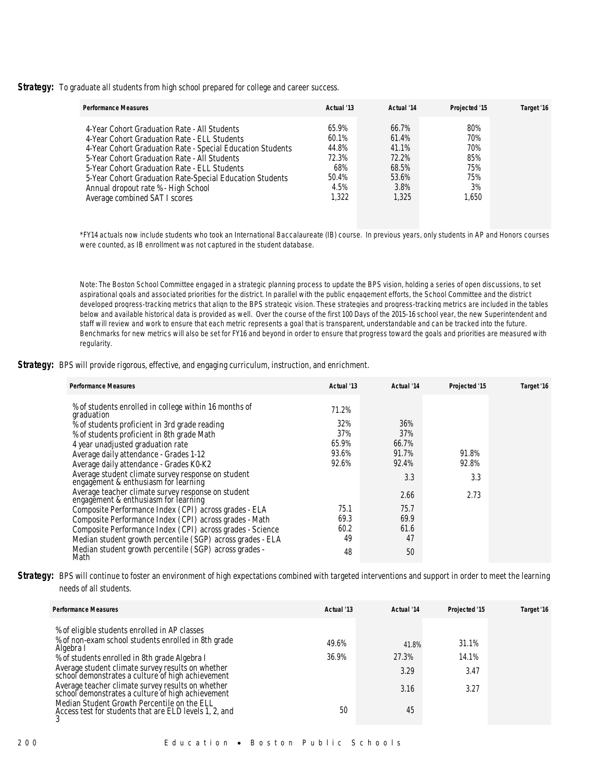**Strategy:** To graduate all students from high school prepared for college and career success.

| <b>Performance Measures</b>                                | Actual '13 | Actual '14 | Projected '15 | Target '16 |
|------------------------------------------------------------|------------|------------|---------------|------------|
| 4-Year Cohort Graduation Rate - All Students               | 65.9%      | $66.7\%$   | 80%           |            |
| 4-Year Cohort Graduation Rate - ELL Students               | $60.1\%$   | 61.4%      | 70%           |            |
| 4-Year Cohort Graduation Rate - Special Education Students | 44.8%      | 41.1%      | 70%           |            |
| 5-Year Cohort Graduation Rate - All Students               | 72.3%      | 72.2%      | 85%           |            |
| 5-Year Cohort Graduation Rate - ELL Students               | 68%        | 68.5%      | 75%           |            |
| 5-Year Cohort Graduation Rate-Special Education Students   | 50.4%      | 53.6%      | 75%           |            |
| Annual dropout rate % - High School                        | 4.5%       | 3.8%       | 3%            |            |
| Average combined SAT I scores                              | 1.322      | 1.325      | 1.650         |            |

\*FY14 actuals now include students who took an International Baccalaureate (IB) course. In previous years, only students in AP and Honors courses were counted, as IB enrollment was not captured in the student database.

Note: The Boston School Committee engaged in a strategic planning process to update the BPS vision, holding a series of open discussions, to set aspirational goals and associated priorities for the district. In parallel with the public engagement efforts, the School Committee and the district developed progress-tracking metrics that align to the BPS strategic vision. These strategies and progress-tracking metrics are included in the tables below and available historical data is provided as well. Over the course of the first 100 Days of the 2015-16 school year, the new Superintendent and staff will review and work to ensure that each metric represents a goal that is transparent, understandable and can be tracked into the future. Benchmarks for new metrics will also be set for FY16 and beyond in order to ensure that progress toward the goals and priorities are measured with regularity.

*Strategy:* BPS will provide rigorous, effective, and engaging curriculum, instruction, and enrichment.

| <b>Performance Measures</b>                                                                | Actual '13 | Actual '14 | Projected '15 | Target '16 |
|--------------------------------------------------------------------------------------------|------------|------------|---------------|------------|
| % of students enrolled in college within 16 months of                                      | 71.2%      |            |               |            |
| graduation                                                                                 | 32%        | 36%        |               |            |
| % of students proficient in 3rd grade reading                                              |            |            |               |            |
| % of students proficient in 8th grade Math                                                 | 37%        | 37%        |               |            |
| 4 year unadjusted graduation rate                                                          | 65.9%      | 66.7%      |               |            |
| Average daily attendance - Grades 1-12                                                     | 93.6%      | 91.7%      | 91.8%         |            |
| Average daily attendance - Grades K0-K2                                                    | 92.6%      | 92.4%      | 92.8%         |            |
| Average student climate survey response on student<br>engagement & enthusiasm for learning |            | 3.3        | 3.3           |            |
| Average teacher climate survey response on student<br>engagement & enthusiasm for learning |            | 2.66       | 2.73          |            |
| Composite Performance Index (CPI) across grades - ELA                                      | 75.1       | 75.7       |               |            |
| Composite Performance Index (CPI) across grades - Math                                     | 69.3       | 69.9       |               |            |
| Composite Performance Index (CPI) across grades - Science                                  | 60.2       | 61.6       |               |            |
| Median student growth percentile (SGP) across grades - ELA                                 | 49         | 47         |               |            |
| Median student growth percentile (SGP) across grades -<br>Math                             | 48         | 50         |               |            |

**Strategy:** BPS will continue to foster an environment of high expectations combined with targeted interventions and support in order to meet the learning needs of all students.

| <b>Performance Measures</b>                                                                            | Actual '13 | Actual '14 | Projected '15 | Target '16 |
|--------------------------------------------------------------------------------------------------------|------------|------------|---------------|------------|
| % of eligible students enrolled in AP classes                                                          |            |            |               |            |
| % of non-exam school students enrolled in 8th grade<br>Algebra I                                       | 49.6%      | 41.8%      | 31.1%         |            |
| % of students enrolled in 8th grade Algebra I                                                          | 36.9%      | 27.3%      | 14.1%         |            |
| Average student climate survey results on whether<br>school demonstrates a culture of high achievement |            | 3.29       | 3.47          |            |
| Average teacher climate survey results on whether<br>school demonstrates a culture of high achievement |            | 3.16       | 3.27          |            |
| Median Student Growth Percentile on the ELL<br>Access test for students that are ELD levels 1, 2, and  | 50         | 45         |               |            |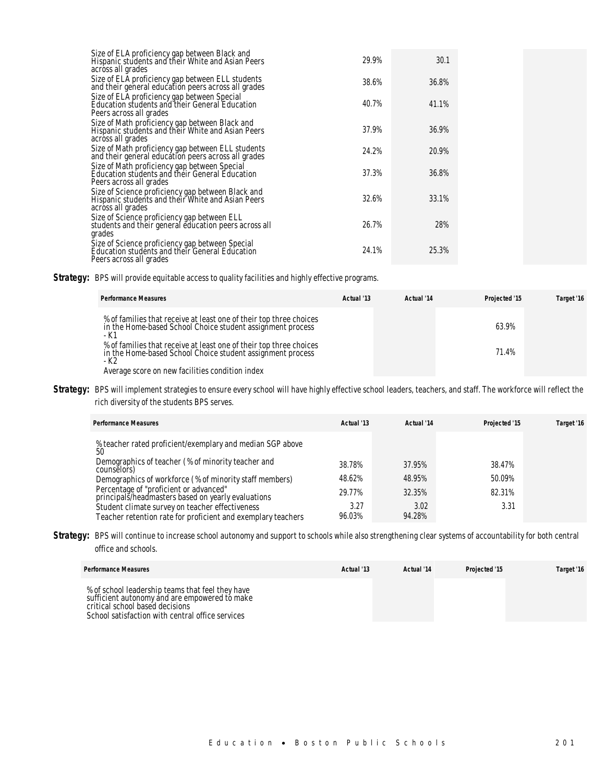| Size of ELA proficiency gap between Black and<br>Hispanic students and their White and Asian Peers<br>across all grades      | 29.9% | 30.1  |  |
|------------------------------------------------------------------------------------------------------------------------------|-------|-------|--|
| Size of ELA proficiency gap between ELL students<br>and their general education peers across all grades                      | 38.6% | 36.8% |  |
| Size of ELA proficiency gap between Special<br>Education students and their General Education<br>Peers across all grades     | 40.7% | 41.1% |  |
| Size of Math proficiency gap between Black and<br>Hispanic students and their White and Asian Peers<br>across all grades     | 37.9% | 36.9% |  |
| Size of Math proficiency gap between ELL students<br>and their general education peers across all grades                     | 24.2% | 20.9% |  |
| Size of Math proficiency gap between Special<br>Education students and their General Education<br>Peers across all grades    | 37.3% | 36.8% |  |
| Size of Science proficiency gap between Black and<br>Hispanic students and their White and Asian Peers<br>across all grades  | 32.6% | 33.1% |  |
| Size of Science proficiency gap between ELL<br>students and their general education peers across all<br>grades               | 26.7% | 28%   |  |
| Size of Science proficiency gap between Special<br>Education students and their General Education<br>Peers across all grades | 24.1% | 25.3% |  |

**Strategy:** BPS will provide equitable access to quality facilities and highly effective programs.

| <b>Performance Measures</b>                                                                                                                                                                 | Actual '13 | Actual '14 | Projected '15 | Target '16 |
|---------------------------------------------------------------------------------------------------------------------------------------------------------------------------------------------|------------|------------|---------------|------------|
| % of families that receive at least one of their top three choices<br>in the Home-based School Choice student assignment process<br>- K1                                                    |            |            | 63.9%         |            |
| % of families that receive at least one of their top three choices<br>in the Home-based School Choice student assignment process<br>- K2<br>Average score on new facilities condition index |            |            | 71.4%         |            |

Strategy: BPS will implement strategies to ensure every school will have highly effective school leaders, teachers, and staff. The workforce will reflect the rich diversity of the students BPS serves.

| <b>Performance Measures</b>                                                                                     | Actual '13     | Actual '14     | Projected '15 | Target '16 |
|-----------------------------------------------------------------------------------------------------------------|----------------|----------------|---------------|------------|
| % teacher rated proficient/exemplary and median SGP above<br>50                                                 |                |                |               |            |
| Demographics of teacher (% of minority teacher and<br>counselors)                                               | 38.78%         | 37.95%         | 38.47%        |            |
| Demographics of workforce (% of minority staff members)                                                         | 48.62%         | 48.95%         | 50.09%        |            |
| Percentage of "proficient or advanced"<br>principals/headmasters based on yearly evaluations                    | 29.77%         | 32.35%         | 82.31%        |            |
| Student climate survey on teacher effectiveness<br>Teacher retention rate for proficient and exemplary teachers | 3.27<br>96.03% | 3.02<br>94.28% | 3.31          |            |

Strategy: BPS will continue to increase school autonomy and support to schools while also strengthening clear systems of accountability for both central office and schools.

| <b>Performance Measures</b>                                                                                                                                                              | Actual '13 | Actual '14 | Projected '15 | Target '16 |
|------------------------------------------------------------------------------------------------------------------------------------------------------------------------------------------|------------|------------|---------------|------------|
| % of school leadership teams that feel they have<br>sufficient autonomy and are empowered to make<br>critical school based decisions<br>School satisfaction with central office services |            |            |               |            |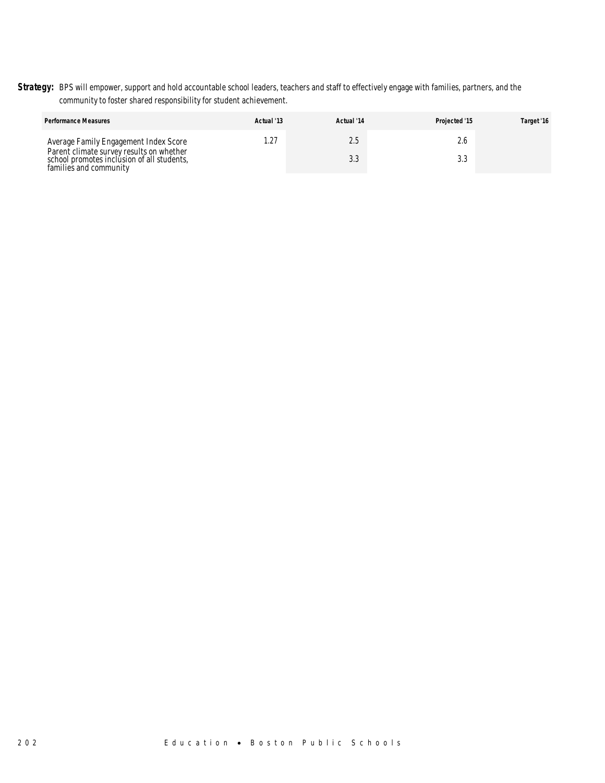Strategy: BPS will empower, support and hold accountable school leaders, teachers and staff to effectively engage with families, partners, and the community to foster shared responsibility for student achievement.

| <b>Performance Measures</b>                                                                                      | Actual '13 | Actual '14      | Projected '15 | Target '16 |
|------------------------------------------------------------------------------------------------------------------|------------|-----------------|---------------|------------|
| Average Family Engagement Index Score                                                                            |            | Z.S             |               |            |
| Parent climate survey results on whether<br>school promotes inclusion of all students.<br>families and community |            | $\sim$<br>ں ، ب |               |            |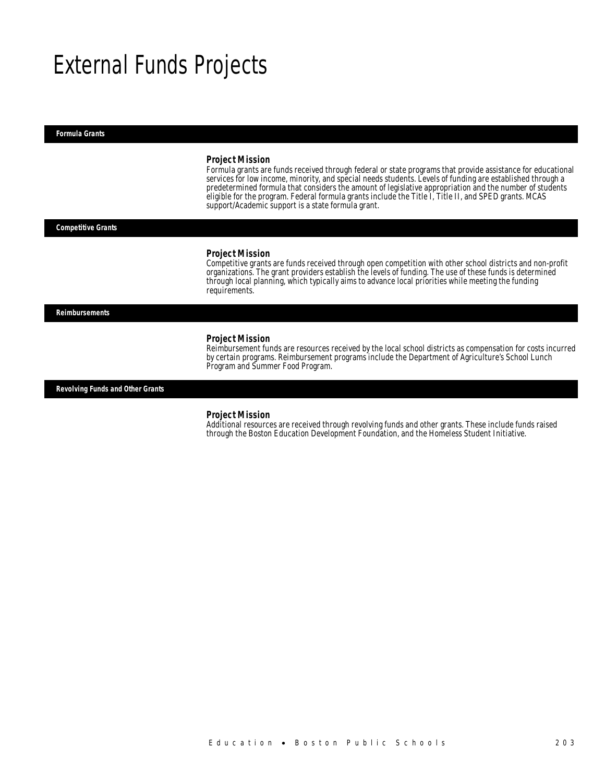# External Funds Projects

*Formula Grants* 

#### *Project Mission*

Formula grants are funds received through federal or state programs that provide assistance for educational services for low income, minority, and special needs students. Levels of funding are established through a predetermined formula that considers the amount of legislative appropriation and the number of students eligible for the program. Federal formula grants include the Title I, Title II, and SPED grants. MCAS support/Academic support is a state formula grant.

*Competitive Grants* 

#### *Project Mission*

Competitive grants are funds received through open competition with other school districts and non-profit organizations. The grant providers establish the levels of funding. The use of these funds is determined through local planning, which typically aims to advance local priorities while meeting the funding requirements.

*Reimbursements* 

#### *Project Mission*

Reimbursement funds are resources received by the local school districts as compensation for costs incurred by certain programs. Reimbursement programs include the Department of Agriculture's School Lunch Program and Summer Food Program.

*Revolving Funds and Other Grants* 

### *Project Mission*

Additional resources are received through revolving funds and other grants. These include funds raised through the Boston Education Development Foundation, and the Homeless Student Initiative.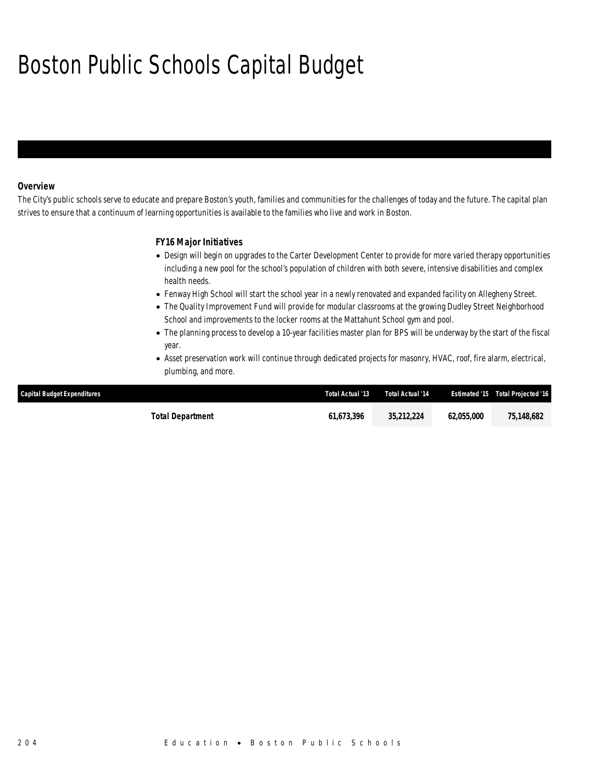# Boston Public Schools Capital Budget

## *Overview*

The City's public schools serve to educate and prepare Boston's youth, families and communities for the challenges of today and the future. The capital plan strives to ensure that a continuum of learning opportunities is available to the families who live and work in Boston.

## *FY16 Major Initiatives*

- Design will begin on upgrades to the Carter Development Center to provide for more varied therapy opportunities including a new pool for the school's population of children with both severe, intensive disabilities and complex health needs.
- Fenway High School will start the school year in a newly renovated and expanded facility on Allegheny Street.
- The Quality Improvement Fund will provide for modular classrooms at the growing Dudley Street Neighborhood School and improvements to the locker rooms at the Mattahunt School gym and pool.
- The planning process to develop a 10-year facilities master plan for BPS will be underway by the start of the fiscal year.
- Asset preservation work will continue through dedicated projects for masonry, HVAC, roof, fire alarm, electrical, plumbing, and more.

| Capital Budget Expenditures | Total Actual '13 | Total Actual '14 |            | <b>Estimated '15 Total Projected '16</b> |
|-----------------------------|------------------|------------------|------------|------------------------------------------|
| Total Department            | 61.673.396       | 35,212,224       | 62.055.000 | 75,148,682                               |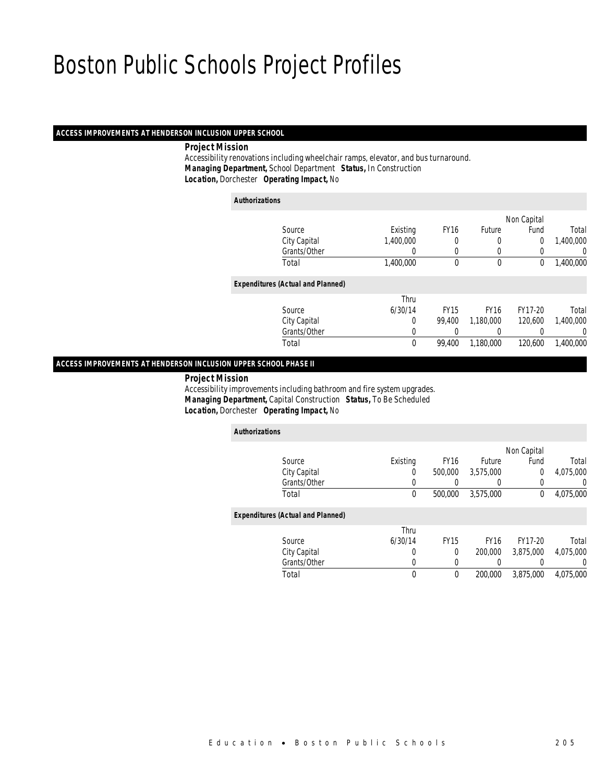## *ACCESS IMPROVEMENTS AT HENDERSON INCLUSION UPPER SCHOOL*

### *Project Mission*

 Accessibility renovations including wheelchair ramps, elevator, and bus turnaround. *Managing Department,* School Department *Status,* In Construction*Location,* Dorchester *Operating Impact,* No

*Authorizations*

|                                          |           |             |             | Non Capital |                  |
|------------------------------------------|-----------|-------------|-------------|-------------|------------------|
| Source                                   | Existing  | <b>FY16</b> | Future      | Fund        | Total            |
| City Capital                             | 1,400,000 | 0           | 0           | 0           | 1,400,000        |
| Grants/Other                             | 0         | 0           | 0           | 0           | 0                |
| Total                                    | 1,400,000 | 0           | 0           | 0           | 1,400,000        |
| <b>Expenditures (Actual and Planned)</b> |           |             |             |             |                  |
|                                          | Thru      |             |             |             |                  |
| Source                                   | 6/30/14   | <b>FY15</b> | <b>FY16</b> | FY17-20     | Total            |
| City Capital                             | 0         | 99.400      | 1,180,000   | 120,600     | 1,400,000        |
| Grants/Other                             | 0         | 0           | 0           | 0           | $\left( \right)$ |
| Total                                    | 0         | 99.400      | 1,180,000   | 120,600     | 1,400,000        |
|                                          |           |             |             |             |                  |

### *ACCESS IMPROVEMENTS AT HENDERSON INCLUSION UPPER SCHOOL PHASE II*

*Project Mission*

 Accessibility improvements including bathroom and fire system upgrades. *Managing Department,* Capital Construction *Status,* To Be Scheduled*Location,* Dorchester *Operating Impact,* No

| <b>Authorizations</b>                    |             |             |             |             |           |
|------------------------------------------|-------------|-------------|-------------|-------------|-----------|
|                                          |             |             |             | Non Capital |           |
| Source                                   | Existing    | <b>FY16</b> | Future      | Fund        | Total     |
| City Capital                             | $\Omega$    | 500,000     | 3.575.000   | $\mathbf 0$ | 4.075.000 |
| Grants/Other                             | 0           |             |             | 0           | 0         |
| Total                                    | 0           | 500,000     | 3,575,000   | 0           | 4,075,000 |
| <b>Expenditures (Actual and Planned)</b> |             |             |             |             |           |
|                                          | Thru        |             |             |             |           |
| Source                                   | 6/30/14     | <b>FY15</b> | <b>FY16</b> | FY17-20     | Total     |
| City Capital                             | 0           | $\Omega$    | 200,000     | 3.875.000   | 4.075.000 |
| Grants/Other                             | 0           | 0           | 0           | 0           | 0         |
| Total                                    | $\mathbf 0$ | $\theta$    | 200,000     | 3,875,000   | 4.075.000 |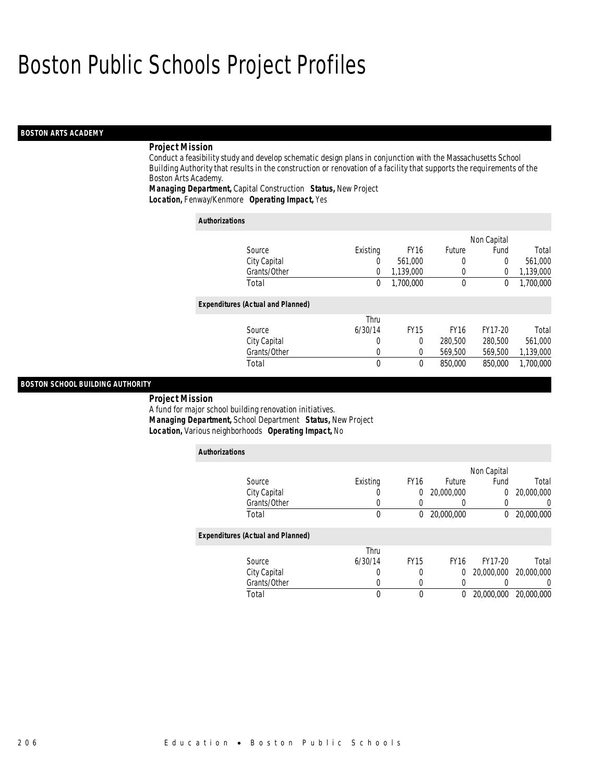### *BOSTON ARTS ACADEMY*

### *Project Mission*

Conduct a feasibility study and develop schematic design plans in conjunction with the Massachusetts School Building Authority that results in the construction or renovation of a facility that supports the requirements of the Boston Arts Academy.

*Managing Department,* Capital Construction *Status,* New Project*Location,* Fenway/Kenmore *Operating Impact,* Yes

| <b>Authorizations</b>                    |             |             |             |             |           |
|------------------------------------------|-------------|-------------|-------------|-------------|-----------|
|                                          |             |             |             | Non Capital |           |
| Source                                   | Existing    | <b>FY16</b> | Future      | Fund        | Total     |
| City Capital                             | 0           | 561.000     | 0           | $\mathbf 0$ | 561,000   |
| Grants/Other                             | 0           | 1,139,000   | 0           | 0           | 1,139,000 |
| Total                                    | $\Omega$    | 1,700,000   | $\mathbf 0$ | 0           | 1,700,000 |
| <b>Expenditures (Actual and Planned)</b> |             |             |             |             |           |
|                                          | Thru        |             |             |             |           |
| Source                                   | 6/30/14     | <b>FY15</b> | <b>FY16</b> | FY17-20     | Total     |
| City Capital                             | 0           | $\Omega$    | 280,500     | 280,500     | 561,000   |
| Grants/Other                             | 0           | $\theta$    | 569,500     | 569,500     | 1,139,000 |
| Total                                    | $\mathbf 0$ | $\theta$    | 850,000     | 850,000     | 1,700,000 |

#### *BOSTON SCHOOL BUILDING AUTHORITY*

*Project Mission* 

A fund for major school building renovation initiatives.

*Managing Department,* School Department *Status,* New Project

*Location,* Various neighborhoods *Operating Impact,* No

| <b>Authorizations</b>                    |          |             |               |             |            |
|------------------------------------------|----------|-------------|---------------|-------------|------------|
|                                          |          |             |               | Non Capital |            |
| Source                                   | Existing | <b>FY16</b> | <b>Future</b> | Fund        | Total      |
| City Capital                             | 0        | 0           | 20,000,000    | $\theta$    | 20,000,000 |
| Grants/Other                             | 0        |             |               |             |            |
| Total                                    | 0        | 0           | 20,000,000    | 0           | 20,000,000 |
| <b>Expenditures (Actual and Planned)</b> |          |             |               |             |            |
|                                          | Thru     |             |               |             |            |
| Source                                   | 6/30/14  | <b>FY15</b> | <b>FY16</b>   | FY17-20     | Total      |
| City Capital                             | 0        | 0           | $\Omega$      | 20,000,000  | 20,000,000 |
| Grants/Other                             | 0        | $\Omega$    |               |             |            |
| Total                                    | 0        | 0           | 0             | 20,000,000  | 20,000,000 |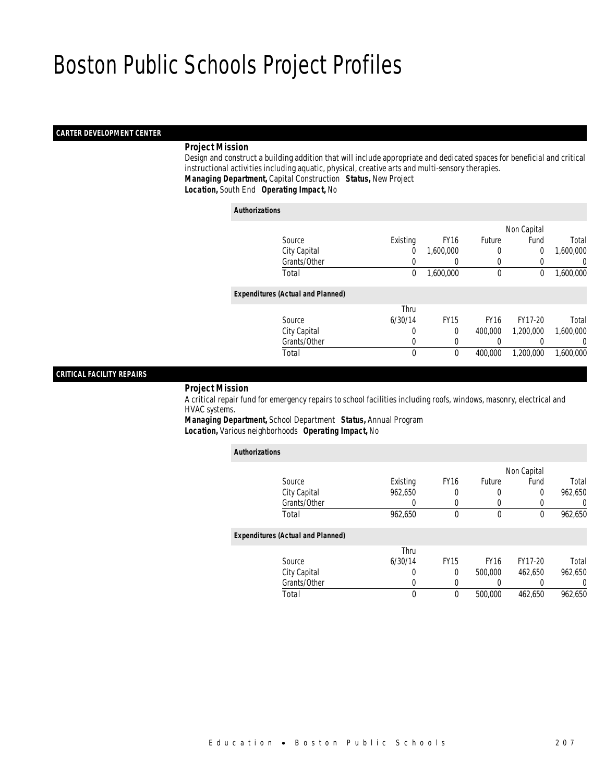### *CARTER DEVELOPMENT CENTER*

## *Project Mission*

 Design and construct a building addition that will include appropriate and dedicated spaces for beneficial and critical instructional activities including aquatic, physical, creative arts and multi-sensory therapies. *Managing Department,* Capital Construction *Status,* New Project*Location,* South End *Operating Impact,* No

#### *Authorizations*

|                                          |          |             |             | Non Capital |           |
|------------------------------------------|----------|-------------|-------------|-------------|-----------|
| Source                                   | Existing | <b>FY16</b> | Future      | Fund        | Total     |
| City Capital                             | 0        | 1,600,000   |             | $\Omega$    | 1,600,000 |
| Grants/Other                             |          |             |             |             | 0         |
| Total                                    | 0        | 1,600,000   | $\mathbf 0$ | 0           | 1,600,000 |
|                                          |          |             |             |             |           |
| <b>Expenditures (Actual and Planned)</b> |          |             |             |             |           |
|                                          | Thru     |             |             |             |           |
| Source                                   | 6/30/14  | <b>FY15</b> | <b>FY16</b> | FY17-20     | Total     |
| City Capital                             | 0        | $\theta$    | 400,000     | 1,200,000   | 1,600,000 |
| Grants/Other                             | 0        |             | 0           |             | 0         |
| Total                                    | 0        | $\theta$    | 400,000     | 1,200,000   | 1,600,000 |
|                                          |          |             |             |             |           |

### *CRITICAL FACILITY REPAIRS*

*Project Mission*

 A critical repair fund for emergency repairs to school facilities including roofs, windows, masonry, electrical and HVAC systems.

*Managing Department,* School Department *Status,* Annual Program*Location,* Various neighborhoods *Operating Impact,* No

| <b>Authorizations</b>                    |                  |                  |             |             |                  |
|------------------------------------------|------------------|------------------|-------------|-------------|------------------|
|                                          |                  |                  |             | Non Capital |                  |
| Source                                   | Existing         | FY <sub>16</sub> | Future      | Fund        | Total            |
| City Capital                             | 962.650          | 0                | 0           | 0           | 962,650          |
| Grants/Other                             | $\left( \right)$ | 0                | 0           |             | $\left( \right)$ |
| Total                                    | 962,650          | 0                | 0           | 0           | 962,650          |
| <b>Expenditures (Actual and Planned)</b> |                  |                  |             |             |                  |
|                                          | Thru             |                  |             |             |                  |
| Source                                   | 6/30/14          | <b>FY15</b>      | <b>FY16</b> | FY17-20     | Total            |
| City Capital                             | 0                | 0                | 500,000     | 462.650     | 962,650          |
| Grants/Other                             | 0                | 0                | 0           |             | 0                |
| Total                                    | 0                | 0                | 500,000     | 462.650     | 962.650          |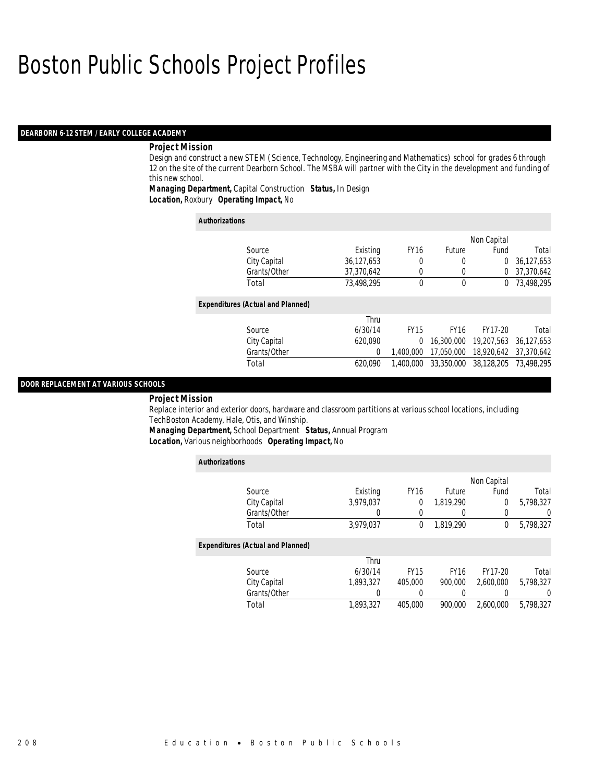### *DEARBORN 6-12 STEM / EARLY COLLEGE ACADEMY*

### *Project Mission*

Design and construct a new STEM (Science, Technology, Engineering and Mathematics) school for grades 6 through 12 on the site of the current Dearborn School. The MSBA will partner with the City in the development and funding of this new school.

*Managing Department,* Capital Construction *Status,* In Design*Location,* Roxbury *Operating Impact,* No

| <b>Authorizations</b>                    |            |              |             |             |            |
|------------------------------------------|------------|--------------|-------------|-------------|------------|
|                                          |            |              |             | Non Capital |            |
| Source                                   | Existing   | <b>FY16</b>  | Future      | Fund        | Total      |
| City Capital                             | 36,127,653 | 0            | 0           | 0           | 36,127,653 |
| Grants/Other                             | 37,370,642 | 0            |             | 0           | 37,370,642 |
| Total                                    | 73.498.295 | $\mathbf{0}$ | $\theta$    | $^{0}$      | 73,498,295 |
| <b>Expenditures (Actual and Planned)</b> |            |              |             |             |            |
|                                          | Thru       |              |             |             |            |
| Source                                   | 6/30/14    | <b>FY15</b>  | <b>FY16</b> | FY17-20     | Total      |
| City Capital                             | 620.090    | 0            | 16,300,000  | 19,207,563  | 36,127,653 |
| Grants/Other                             | 0          | 1.400.000    | 17.050.000  | 18,920,642  | 37,370,642 |
| Total                                    | 620.090    | 1.400.000    | 33,350,000  | 38.128.205  | 73,498,295 |

#### *DOOR REPLACEMENT AT VARIOUS SCHOOLS*

#### *Project Mission*

Replace interior and exterior doors, hardware and classroom partitions at various school locations, including TechBoston Academy, Hale, Otis, and Winship.

*Managing Department,* School Department *Status,* Annual Program

*Location,* Various neighborhoods *Operating Impact,* No

| <b>Authorizations</b>                    |           |             |             |             |                |
|------------------------------------------|-----------|-------------|-------------|-------------|----------------|
|                                          |           |             |             | Non Capital |                |
| Source                                   | Existing  | <b>FY16</b> | Future      | Fund        | Total          |
| City Capital                             | 3.979.037 | 0           | 1,819,290   | $\Omega$    | 5,798,327      |
| Grants/Other                             | U         | 0           |             |             | $\overline{0}$ |
| Total                                    | 3,979,037 | 0           | 1,819,290   | 0           | 5,798,327      |
| <b>Expenditures (Actual and Planned)</b> |           |             |             |             |                |
|                                          | Thru      |             |             |             |                |
| Source                                   | 6/30/14   | <b>FY15</b> | <b>FY16</b> | FY17-20     | Total          |
| City Capital                             | 1.893.327 | 405,000     | 900.000     | 2.600.000   | 5.798.327      |
| Grants/Other                             | 0         | 0           |             |             | $\Omega$       |
| Total                                    | 1.893.327 | 405,000     | 900.000     | 2.600.000   | 5.798.327      |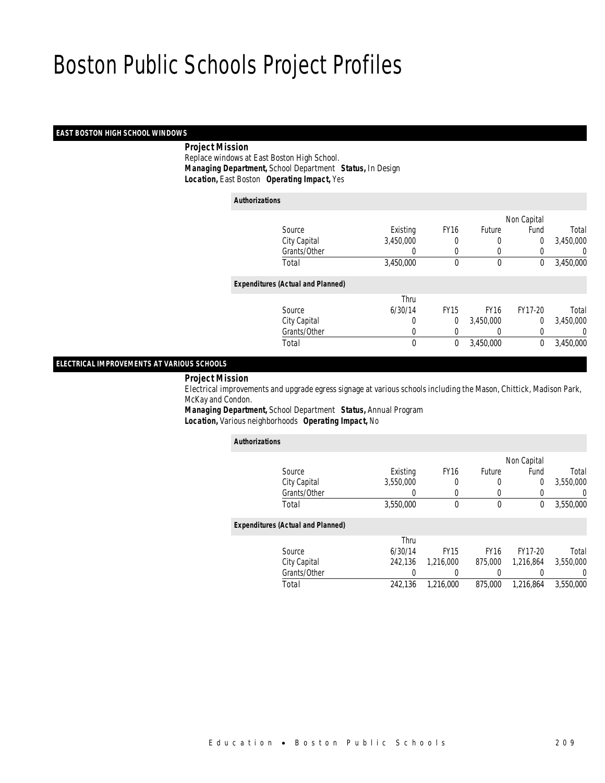### *EAST BOSTON HIGH SCHOOL WINDOWS*

### *Project Mission*

 Replace windows at East Boston High School. *Managing Department,* School Department *Status,* In Design*Location,* East Boston *Operating Impact,* Yes

| <b>Authorizations</b>                    |           |             |             |                |           |
|------------------------------------------|-----------|-------------|-------------|----------------|-----------|
|                                          |           |             |             | Non Capital    |           |
| Source                                   | Existing  | <b>FY16</b> | Future      | Fund           | Total     |
| City Capital                             | 3,450,000 | 0           | 0           | $\overline{0}$ | 3,450,000 |
| Grants/Other                             | 0         | 0           | 0           | 0              | 0         |
| Total                                    | 3,450,000 | $\theta$    | 0           | $\mathbf 0$    | 3,450,000 |
| <b>Expenditures (Actual and Planned)</b> |           |             |             |                |           |
|                                          | Thru      |             |             |                |           |
| Source                                   | 6/30/14   | <b>FY15</b> | <b>FY16</b> | FY17-20        | Total     |
| City Capital                             | 0         | 0           | 3,450,000   | $\Omega$       | 3,450,000 |
| Grants/Other                             | 0         |             |             | 0              | U         |
| Total                                    | 0         | $\mathbf 0$ | 3,450,000   | 0              | 3,450,000 |

## *ELECTRICAL IMPROVEMENTS AT VARIOUS SCHOOLS*

#### *Project Mission*

 Electrical improvements and upgrade egress signage at various schools including the Mason, Chittick, Madison Park, McKay and Condon.

*Managing Department,* School Department *Status,* Annual Program*Location,* Various neighborhoods *Operating Impact,* No

| <b>Authorizations</b>                    |                  |             |               |             |           |
|------------------------------------------|------------------|-------------|---------------|-------------|-----------|
|                                          |                  |             |               | Non Capital |           |
| Source                                   | Existing         | <b>FY16</b> | <b>Future</b> | Fund        | Total     |
| City Capital                             | 3,550,000        | 0           | 0             | 0           | 3,550,000 |
| Grants/Other                             | $\left( \right)$ | $\left($    | 0             | 0           |           |
| Total                                    | 3,550,000        | 0           | 0             | 0           | 3,550,000 |
| <b>Expenditures (Actual and Planned)</b> |                  |             |               |             |           |
|                                          | Thru             |             |               |             |           |
| Source                                   | 6/30/14          | <b>FY15</b> | <b>FY16</b>   | FY17-20     | Total     |
| City Capital                             | 242.136          | 1,216,000   | 875,000       | 1.216.864   | 3,550,000 |
| Grants/Other                             |                  | 0           | 0             | 0           |           |
| Total                                    | 242,136          | 1,216,000   | 875,000       | 1,216,864   | 3,550,000 |
|                                          |                  |             |               |             |           |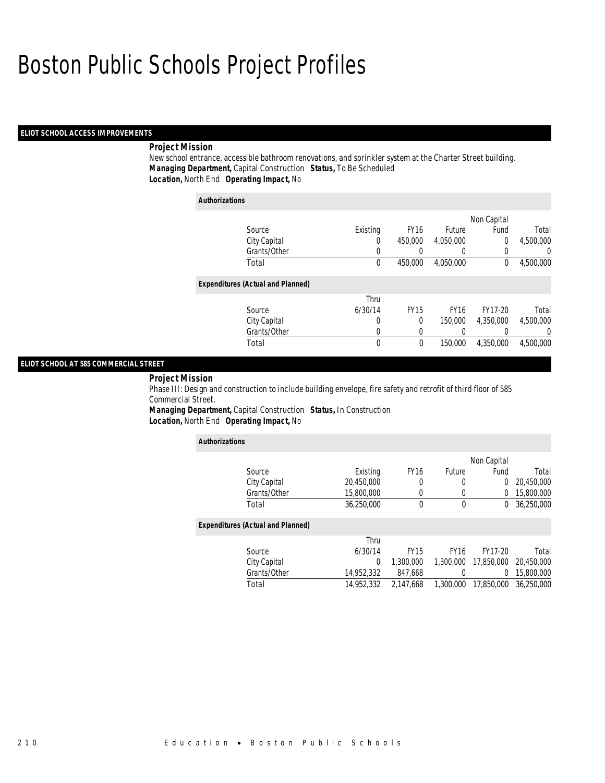### *ELIOT SCHOOL ACCESS IMPROVEMENTS*

### *Project Mission*

New school entrance, accessible bathroom renovations, and sprinkler system at the Charter Street building. *Managing Department,* Capital Construction *Status,* To Be Scheduled*Location,* North End *Operating Impact,* No

| <b>Authorizations</b> |                                          |             |             |             |             |                |
|-----------------------|------------------------------------------|-------------|-------------|-------------|-------------|----------------|
|                       |                                          |             |             |             | Non Capital |                |
|                       | Source                                   | Existing    | <b>FY16</b> | Future      | Fund        | Total          |
|                       | City Capital                             | 0           | 450,000     | 4,050,000   | $\theta$    | 4.500.000      |
|                       | Grants/Other                             | $\left($    |             |             | 0           | $\overline{0}$ |
|                       | Total                                    | 0           | 450.000     | 4,050,000   | 0           | 4,500,000      |
|                       | <b>Expenditures (Actual and Planned)</b> |             |             |             |             |                |
|                       |                                          | Thru        |             |             |             |                |
|                       | Source                                   | 6/30/14     | <b>FY15</b> | <b>FY16</b> | FY17-20     | Total          |
|                       | City Capital                             | 0           | $\Omega$    | 150,000     | 4,350,000   | 4,500,000      |
|                       | Grants/Other                             | $\left($    | $\left($    |             |             | 0              |
|                       | Total                                    | $\mathbf 0$ | $\mathbf 0$ | 150,000     | 4.350.000   | 4.500.000      |

## *ELIOT SCHOOL AT 585 COMMERCIAL STREET*

#### *Project Mission*

Phase III: Design and construction to include building envelope, fire safety and retrofit of third floor of 585 Commercial Street.

*Managing Department,* Capital Construction *Status,* In Construction*Location,* North End *Operating Impact,* No

| <b>Authorizations</b>                    |            |             |             |             |            |
|------------------------------------------|------------|-------------|-------------|-------------|------------|
|                                          |            |             |             | Non Capital |            |
| Source                                   | Existing   | <b>FY16</b> | Future      | Fund        | Total      |
| City Capital                             | 20,450,000 | 0           | 0           | 0           | 20,450,000 |
| Grants/Other                             | 15,800,000 | 0           | 0           | 0           | 15,800,000 |
| Total                                    | 36.250.000 | 0           | 0           | 0           | 36,250,000 |
| <b>Expenditures (Actual and Planned)</b> |            |             |             |             |            |
|                                          | Thru       |             |             |             |            |
| Source                                   | 6/30/14    | <b>FY15</b> | <b>FY16</b> | FY17-20     | Total      |
| City Capital                             | 0          | 1,300,000   | 1,300,000   | 17,850,000  | 20.450.000 |
| Grants/Other                             | 14,952,332 | 847,668     | 0           | 0           | 15,800,000 |
| Total                                    | 14,952,332 | 2.147.668   | 1,300,000   | 17,850,000  | 36.250.000 |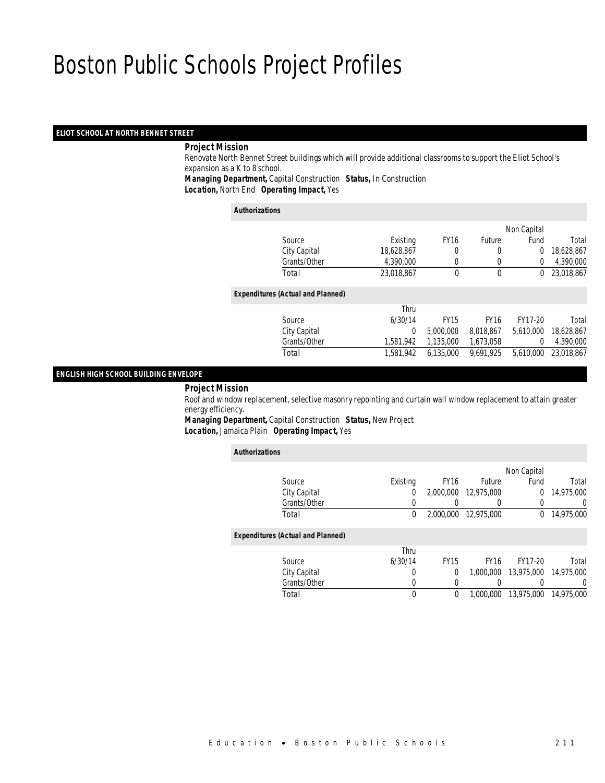### *ELIOT SCHOOL AT NORTH BENNET STREET*

### *Project Mission*

 Renovate North Bennet Street buildings which will provide additional classrooms to support the Eliot School's expansion as a K to 8 school. *Managing Department,* Capital Construction *Status,* In Construction

*Location,* North End *Operating Impact,* Yes

#### *Authorizations*

|                                          |            |             |             | Non Capital    |            |
|------------------------------------------|------------|-------------|-------------|----------------|------------|
| Source                                   | Existing   | <b>FY16</b> | Future      | Fund           | Total      |
| City Capital                             | 18,628,867 | 0           | 0           | $\overline{0}$ | 18,628,867 |
| Grants/Other                             | 4,390,000  |             |             | 0              | 4,390,000  |
| Total                                    | 23,018,867 | 0           | 0           | 0              | 23,018,867 |
| <b>Expenditures (Actual and Planned)</b> |            |             |             |                |            |
|                                          | Thru       |             |             |                |            |
| Source                                   | 6/30/14    | <b>FY15</b> | <b>FY16</b> | FY17-20        | Total      |
| City Capital                             | $\Omega$   | 5,000,000   | 8,018,867   | 5.610.000      | 18,628,867 |
| Grants/Other                             | 1,581,942  | 1,135,000   | 1,673,058   | $\Omega$       | 4,390,000  |
| Total                                    | 1,581,942  | 6,135,000   | 9,691,925   | 5,610,000      | 23,018,867 |
|                                          |            |             |             |                |            |

### *ENGLISH HIGH SCHOOL BUILDING ENVELOPE*

*Project Mission*

 Roof and window replacement, selective masonry repointing and curtain wall window replacement to attain greater energy efficiency.

*Managing Department,* Capital Construction *Status,* New Project*Location,* Jamaica Plain *Operating Impact,* Yes

| <b>Authorizations</b>                    |          |             |             |             |            |
|------------------------------------------|----------|-------------|-------------|-------------|------------|
|                                          |          |             |             | Non Capital |            |
| Source                                   | Existing | <b>FY16</b> | Future      | Fund        | Total      |
| City Capital                             | 0        | 2,000,000   | 12.975.000  | 0           | 14,975,000 |
| Grants/Other                             | 0        | 0           | 0           | 0           | $\Omega$   |
| Total                                    | 0        | 2.000.000   | 12,975,000  | 0           | 14,975,000 |
| <b>Expenditures (Actual and Planned)</b> |          |             |             |             |            |
|                                          | Thru     |             |             |             |            |
| Source                                   | 6/30/14  | <b>FY15</b> | <b>FY16</b> | FY17-20     | Total      |
| City Capital                             | 0        | 0           | 1,000,000   | 13,975,000  | 14,975,000 |
| Grants/Other                             | 0        | 0           | 0           |             | $\Omega$   |
| Total                                    | 0        | 0           | 1.000.000   | 13.975.000  | 14.975.000 |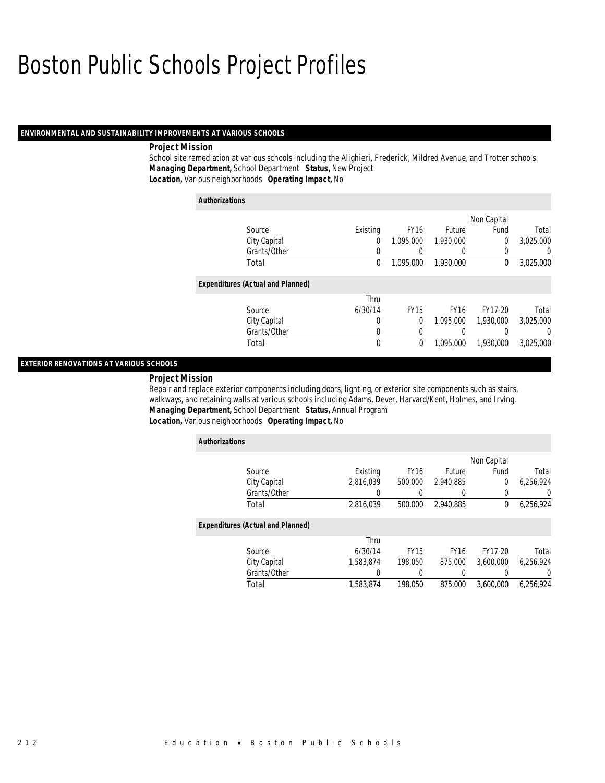### *ENVIRONMENTAL AND SUSTAINABILITY IMPROVEMENTS AT VARIOUS SCHOOLS*

### *Project Mission*

School site remediation at various schools including the Alighieri, Frederick, Mildred Avenue, and Trotter schools. *Managing Department,* School Department *Status,* New Project*Location,* Various neighborhoods *Operating Impact,* No

| <b>Authorizations</b>                    |                |             |             |             |                |
|------------------------------------------|----------------|-------------|-------------|-------------|----------------|
|                                          |                |             |             | Non Capital |                |
| Source                                   | Existing       | <b>FY16</b> | Future      | Fund        | Total          |
| City Capital                             | $\overline{0}$ | 1.095.000   | 1.930.000   | 0           | 3.025.000      |
| Grants/Other                             | 0              |             | 0           | 0           | $\overline{0}$ |
| Total                                    | 0              | 1.095.000   | 1.930.000   | 0           | 3,025,000      |
| <b>Expenditures (Actual and Planned)</b> |                |             |             |             |                |
|                                          | Thru           |             |             |             |                |
| Source                                   | 6/30/14        | <b>FY15</b> | <b>FY16</b> | FY17-20     | Total          |
| City Capital                             | 0              | $\Omega$    | 1.095.000   | 1,930,000   | 3,025,000      |
| Grants/Other                             | 0              | 0           | 0           | 0           | $\overline{0}$ |
| Total                                    | $\mathbf 0$    | $\mathbf 0$ | 1.095.000   | 1.930.000   | 3.025.000      |

## *EXTERIOR RENOVATIONS AT VARIOUS SCHOOLS*

#### *Project Mission*

Repair and replace exterior components including doors, lighting, or exterior site components such as stairs, walkways, and retaining walls at various schools including Adams, Dever, Harvard/Kent, Holmes, and Irving. *Managing Department,* School Department *Status,* Annual Program*Location,* Various neighborhoods *Operating Impact,* No

| <b>Authorizations</b>                    |           |             |             |                |           |
|------------------------------------------|-----------|-------------|-------------|----------------|-----------|
|                                          |           |             |             | Non Capital    |           |
| Source                                   | Existing  | <b>FY16</b> | Future      | Fund           | Total     |
| City Capital                             | 2.816.039 | 500,000     | 2,940,885   | $\overline{0}$ | 6,256,924 |
| Grants/Other                             | 0         |             | 0           | 0              | 0         |
| Total                                    | 2,816,039 | 500,000     | 2.940.885   | 0              | 6,256,924 |
| <b>Expenditures (Actual and Planned)</b> |           |             |             |                |           |
|                                          | Thru      |             |             |                |           |
| Source                                   | 6/30/14   | <b>FY15</b> | <b>FY16</b> | FY17-20        | Total     |
| City Capital                             | 1.583.874 | 198.050     | 875,000     | 3.600.000      | 6.256.924 |
| Grants/Other                             | 0         | 0           | 0           |                | 0         |
| Total                                    | 1,583,874 | 198.050     | 875,000     | 3.600.000      | 6,256,924 |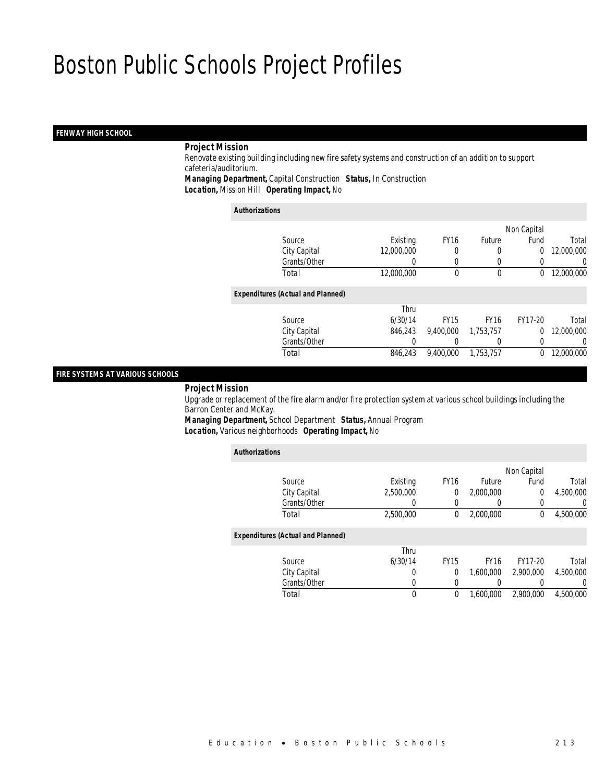## *FENWAY HIGH SCHOOL*

### *Project Mission*

 Renovate existing building including new fire safety systems and construction of an addition to support cafeteria/auditorium. *Managing Department,* Capital Construction *Status,* In Construction

*Location,* Mission Hill *Operating Impact,* No

#### *Authorizations*

|                                          |            |             |               | Non Capital    |            |
|------------------------------------------|------------|-------------|---------------|----------------|------------|
| Source                                   | Existing   | <b>FY16</b> | <b>Future</b> | Fund           | Total      |
| City Capital                             | 12,000,000 | 0           |               | $\overline{0}$ | 12,000,000 |
| Grants/Other                             | 0          |             |               |                | 0          |
| Total                                    | 12,000,000 | 0           | 0             | $\Omega$       | 12,000,000 |
| <b>Expenditures (Actual and Planned)</b> |            |             |               |                |            |
|                                          | Thru       |             |               |                |            |
| Source                                   | 6/30/14    | <b>FY15</b> | <b>FY16</b>   | FY17-20        | Total      |
| City Capital                             | 846,243    | 9,400,000   | 1,753,757     | $\Omega$       | 12,000,000 |
| Grants/Other                             | 0          |             | 0             |                | 0          |
| Total                                    | 846,243    | 9,400,000   | 1,753,757     | 0              | 12,000,000 |
|                                          |            |             |               |                |            |

### *FIRE SYSTEMS AT VARIOUS SCHOOLS*

*Project Mission*

 Upgrade or replacement of the fire alarm and/or fire protection system at various school buildings including the Barron Center and McKay.

*Managing Department,* School Department *Status,* Annual Program*Location,* Various neighborhoods *Operating Impact,* No

| <b>Authorizations</b>                    |           |             |                  |             |                |
|------------------------------------------|-----------|-------------|------------------|-------------|----------------|
|                                          |           |             |                  | Non Capital |                |
| Source                                   | Existing  | <b>FY16</b> | Future           | Fund        | Total          |
| City Capital                             | 2.500.000 | 0           | 2.000.000        | 0           | 4.500.000      |
| Grants/Other                             | 0         | 0           | $\left( \right)$ | $\Omega$    | $\Omega$       |
| Total                                    | 2,500,000 | 0           | 2,000,000        | $\Omega$    | 4,500,000      |
| <b>Expenditures (Actual and Planned)</b> |           |             |                  |             |                |
|                                          | Thru      |             |                  |             |                |
| Source                                   | 6/30/14   | <b>FY15</b> | <b>FY16</b>      | FY17-20     | Total          |
| City Capital                             | 0         | 0           | 1.600.000        | 2.900.000   | 4,500,000      |
| Grants/Other                             | 0         | 0           |                  |             | $\overline{0}$ |
| Total                                    | 0         | 0           | 1.600.000        | 2.900.000   | 4,500,000      |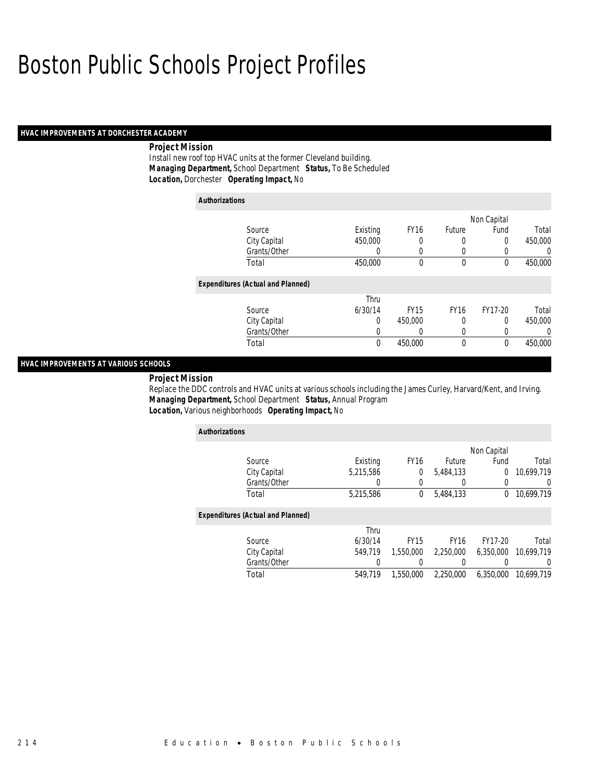### *HVAC IMPROVEMENTS AT DORCHESTER ACADEMY*

### *Project Mission*

Install new roof top HVAC units at the former Cleveland building. *Managing Department,* School Department *Status,* To Be Scheduled*Location,* Dorchester *Operating Impact,* No

| <b>Authorizations</b>                    |          |                  |               |             |          |
|------------------------------------------|----------|------------------|---------------|-------------|----------|
|                                          |          |                  |               | Non Capital |          |
| Source                                   | Existing | <b>FY16</b>      | <b>Future</b> | Fund        | Total    |
| City Capital                             | 450,000  | 0                | 0             | 0           | 450,000  |
| Grants/Other                             | 0        | 0                | 0             | 0           | $\Omega$ |
| Total                                    | 450,000  | 0                | $\mathbf 0$   | $\theta$    | 450,000  |
| <b>Expenditures (Actual and Planned)</b> |          |                  |               |             |          |
|                                          | Thru     |                  |               |             |          |
| Source                                   | 6/30/14  | FY <sub>15</sub> | <b>FY16</b>   | FY17-20     | Total    |
| City Capital                             | 0        | 450,000          | 0             | 0           | 450,000  |
| Grants/Other                             | 0        | 0                | 0             | 0           | 0        |
| Total                                    | 0        | 450.000          | $\mathbf 0$   | $\theta$    | 450,000  |

## *HVAC IMPROVEMENTS AT VARIOUS SCHOOLS*

*Project Mission* 

Replace the DDC controls and HVAC units at various schools including the James Curley, Harvard/Kent, and Irving. *Managing Department,* School Department *Status,* Annual Program*Location,* Various neighborhoods *Operating Impact,* No

| <b>Authorizations</b>                    |           |             |               |                |            |
|------------------------------------------|-----------|-------------|---------------|----------------|------------|
|                                          |           |             |               | Non Capital    |            |
| Source                                   | Existing  | <b>FY16</b> | <b>Future</b> | Fund           | Total      |
| City Capital                             | 5,215,586 | 0           | 5,484,133     | $\overline{0}$ | 10.699.719 |
| Grants/Other                             | O         |             |               | 0              | 0          |
| Total                                    | 5,215,586 | $\theta$    | 5,484,133     | 0              | 10,699,719 |
| <b>Expenditures (Actual and Planned)</b> |           |             |               |                |            |
|                                          | Thru      |             |               |                |            |
| Source                                   | 6/30/14   | <b>FY15</b> | <b>FY16</b>   | FY17-20        | Total      |
| City Capital                             | 549.719   | 1.550.000   | 2,250,000     | 6.350.000      | 10.699.719 |
| Grants/Other                             | 0         |             |               | 0              | 0          |
| Total                                    | 549.719   | 1,550,000   | 2,250,000     | 6.350.000      | 10.699.719 |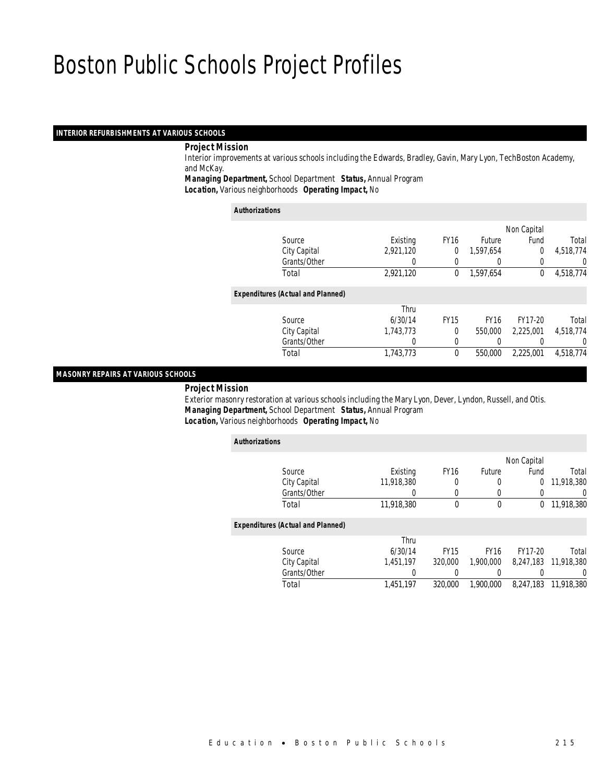### *INTERIOR REFURBISHMENTS AT VARIOUS SCHOOLS*

### *Project Mission*

 Interior improvements at various schools including the Edwards, Bradley, Gavin, Mary Lyon, TechBoston Academy, and McKay.

*Managing Department,* School Department *Status,* Annual Program

*Location,* Various neighborhoods *Operating Impact,* No

*Authorizations*

|                                          |           |             |                  | Non Capital    |           |
|------------------------------------------|-----------|-------------|------------------|----------------|-----------|
| Source                                   | Existing  | <b>FY16</b> | <b>Future</b>    | Fund           | Total     |
| City Capital                             | 2,921,120 | 0           | 1.597.654        | $\overline{0}$ | 4,518,774 |
| Grants/Other                             | 0         |             | $\left( \right)$ |                | 0         |
| Total                                    | 2,921,120 | $\Omega$    | 1,597,654        | $\Omega$       | 4,518,774 |
| <b>Expenditures (Actual and Planned)</b> |           |             |                  |                |           |
|                                          | Thru      |             |                  |                |           |
| Source                                   | 6/30/14   | <b>FY15</b> | <b>FY16</b>      | FY17-20        | Total     |
| City Capital                             | 1,743,773 | $\theta$    | 550,000          | 2.225.001      | 4,518,774 |
| Grants/Other                             | 0         |             |                  |                | 0         |
| Total                                    | 1,743,773 | $\theta$    | 550,000          | 2,225,001      | 4,518,774 |
|                                          |           |             |                  |                |           |

### *MASONRY REPAIRS AT VARIOUS SCHOOLS*

*Project Mission*

 Exterior masonry restoration at various schools including the Mary Lyon, Dever, Lyndon, Russell, and Otis. *Managing Department,* School Department *Status,* Annual Program*Location,* Various neighborhoods *Operating Impact,* No

| <b>Authorizations</b>                    |            |             |             |             |                      |
|------------------------------------------|------------|-------------|-------------|-------------|----------------------|
|                                          |            |             |             | Non Capital |                      |
| Source                                   | Existing   | <b>FY16</b> | Future      | Fund        | Total                |
| City Capital                             | 11,918,380 |             |             | 0           | 11,918,380           |
| Grants/Other                             |            |             |             |             | 0                    |
| Total                                    | 11,918,380 | $\Omega$    | $\theta$    | $\Omega$    | 11,918,380           |
| <b>Expenditures (Actual and Planned)</b> |            |             |             |             |                      |
|                                          | Thru       |             |             |             |                      |
| Source                                   | 6/30/14    | <b>FY15</b> | <b>FY16</b> | FY17-20     | Total                |
| City Capital                             | 1.451.197  | 320,000     | 1,900,000   |             | 8,247,183 11,918,380 |
| Grants/Other                             |            |             |             |             | 0                    |
| Total                                    | 1,451,197  | 320,000     | 1,900,000   | 8.247.183   | 11,918,380           |
|                                          |            |             |             |             |                      |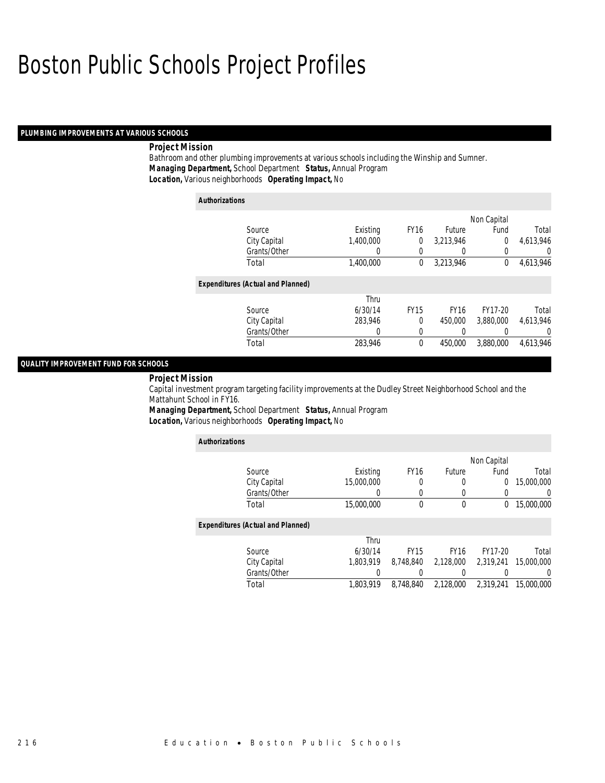### *PLUMBING IMPROVEMENTS AT VARIOUS SCHOOLS*

### *Project Mission*

Bathroom and other plumbing improvements at various schools including the Winship and Sumner. *Managing Department,* School Department *Status,* Annual Program*Location,* Various neighborhoods *Operating Impact,* No

| <b>Authorizations</b> |                                          |           |             |             |             |                |
|-----------------------|------------------------------------------|-----------|-------------|-------------|-------------|----------------|
|                       |                                          |           |             |             | Non Capital |                |
|                       | Source                                   | Existing  | <b>FY16</b> | Future      | Fund        | Total          |
|                       | City Capital                             | 1.400.000 | 0           | 3.213.946   | 0           | 4,613,946      |
|                       | Grants/Other                             | 0         | 0           | 0           |             | $\theta$       |
|                       | Total                                    | 1,400,000 | 0           | 3,213,946   | $\theta$    | 4,613,946      |
|                       | <b>Expenditures (Actual and Planned)</b> |           |             |             |             |                |
|                       |                                          | Thru      |             |             |             |                |
|                       | Source                                   | 6/30/14   | <b>FY15</b> | <b>FY16</b> | FY17-20     | Total          |
|                       | City Capital                             | 283.946   | 0           | 450,000     | 3.880.000   | 4.613.946      |
|                       | Grants/Other                             | 0         | 0           | 0           |             | $\overline{0}$ |
|                       | Total                                    | 283,946   | 0           | 450,000     | 3,880,000   | 4,613,946      |

## *QUALITY IMPROVEMENT FUND FOR SCHOOLS*

#### *Project Mission*

Capital investment program targeting facility improvements at the Dudley Street Neighborhood School and the Mattahunt School in FY16.

*Managing Department,* School Department *Status,* Annual Program*Location,* Various neighborhoods *Operating Impact,* No

| <b>Authorizations</b>                    |            |             |             |             |            |
|------------------------------------------|------------|-------------|-------------|-------------|------------|
|                                          |            |             |             | Non Capital |            |
| Source                                   | Existing   | <b>FY16</b> | Future      | Fund        | Total      |
| City Capital                             | 15,000,000 | 0           | 0           | 0           | 15,000,000 |
| Grants/Other                             |            | 0           | 0           | 0           |            |
| Total                                    | 15,000,000 | 0           | 0           | 0           | 15,000,000 |
| <b>Expenditures (Actual and Planned)</b> |            |             |             |             |            |
|                                          | Thru       |             |             |             |            |
| Source                                   | 6/30/14    | <b>FY15</b> | <b>FY16</b> | FY17-20     | Total      |
| City Capital                             | 1.803.919  | 8.748.840   | 2,128,000   | 2.319.241   | 15,000,000 |
| Grants/Other                             |            |             | 0           |             |            |
| Total                                    | 1,803,919  | 8,748,840   | 2,128,000   | 2,319,241   | 15,000,000 |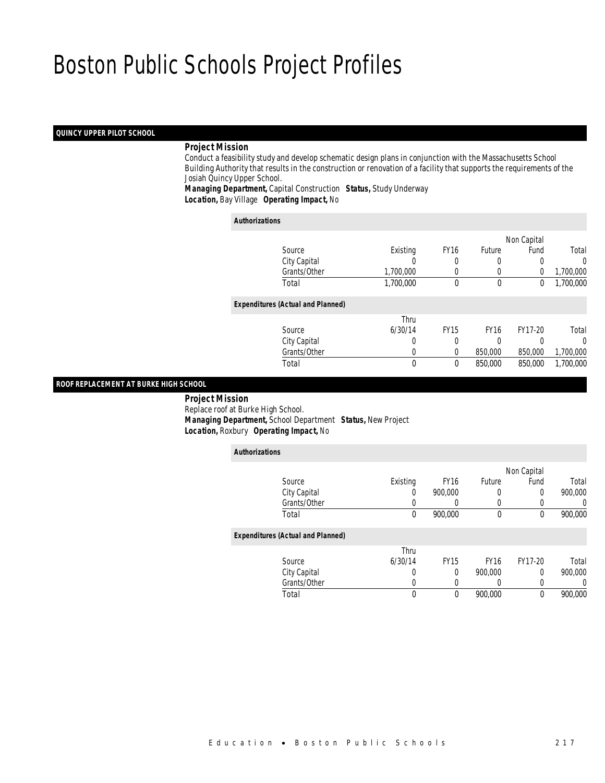### *QUINCY UPPER PILOT SCHOOL*

### *Project Mission*

 Conduct a feasibility study and develop schematic design plans in conjunction with the Massachusetts School Building Authority that results in the construction or renovation of a facility that supports the requirements of the Josiah Quincy Upper School.

*Managing Department,* Capital Construction *Status,* Study Underway*Location,* Bay Village *Operating Impact,* No

| <b>Authorizations</b>                    |           |             |             |             |           |
|------------------------------------------|-----------|-------------|-------------|-------------|-----------|
|                                          |           |             |             | Non Capital |           |
| Source                                   | Existing  | <b>FY16</b> | Future      | Fund        | Total     |
| City Capital                             |           | 0           | 0           | 0           | $\Omega$  |
| Grants/Other                             | 1,700,000 | $\left($    | 0           | 0           | 1,700,000 |
| Total                                    | 1,700,000 | $\Omega$    | $\theta$    | 0           | 1,700,000 |
| <b>Expenditures (Actual and Planned)</b> |           |             |             |             |           |
|                                          | Thru      |             |             |             |           |
| Source                                   | 6/30/14   | <b>FY15</b> | <b>FY16</b> | FY17-20     | Total     |
| City Capital                             | 0         | 0           | 0           | 0           | $\Omega$  |
| Grants/Other                             | 0         | 0           | 850,000     | 850,000     | 1,700,000 |
| Total                                    | 0         | $\Omega$    | 850,000     | 850,000     | 1.700.000 |

#### *ROOF REPLACEMENT AT BURKE HIGH SCHOOL*

 *Project Mission* Replace roof at Burke High School. *Managing Department,* School Department *Status,* New Project*Location,* Roxbury *Operating Impact,* No

| <b>Authorizations</b>                    |          |             |             |                  |         |
|------------------------------------------|----------|-------------|-------------|------------------|---------|
|                                          |          |             |             | Non Capital      |         |
| Source                                   | Existing | <b>FY16</b> | Future      | Fund             | Total   |
| City Capital                             | 0        | 900.000     | 0           | 0                | 900,000 |
| Grants/Other                             | 0        | 0           | 0           | $\left( \right)$ | 0       |
| Total                                    | 0        | 900,000     | 0           | 0                | 900,000 |
| <b>Expenditures (Actual and Planned)</b> |          |             |             |                  |         |
|                                          | Thru     |             |             |                  |         |
| Source                                   | 6/30/14  | <b>FY15</b> | <b>FY16</b> | FY17-20          | Total   |
| City Capital                             | 0        | 0           | 900.000     | 0                | 900,000 |
| Grants/Other                             | 0        | 0           | 0           | 0                | 0       |
| Total                                    | 0        | 0           | 900.000     | 0                | 900,000 |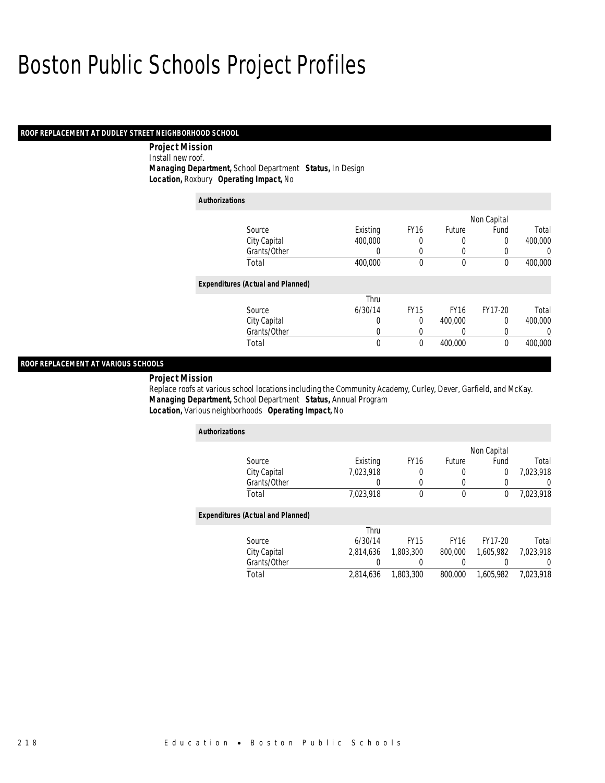## *ROOF REPLACEMENT AT DUDLEY STREET NEIGHBORHOOD SCHOOL*

 *Project Mission* Install new roof. *Managing Department,* School Department *Status,* In Design*Location,* Roxbury *Operating Impact,* No

| <b>Authorizations</b>                    |             |             |             |             |             |
|------------------------------------------|-------------|-------------|-------------|-------------|-------------|
|                                          |             |             |             | Non Capital |             |
| Source                                   | Existing    | <b>FY16</b> | Future      | Fund        | Total       |
| City Capital                             | 400,000     | 0           | 0           | 0           | 400,000     |
| Grants/Other                             | 0           | 0           | 0           | 0           | $\mathbf 0$ |
| Total                                    | 400,000     | 0           | $\mathbf 0$ | $\theta$    | 400,000     |
| <b>Expenditures (Actual and Planned)</b> |             |             |             |             |             |
|                                          | Thru        |             |             |             |             |
| Source                                   | 6/30/14     | <b>FY15</b> | <b>FY16</b> | FY17-20     | Total       |
| City Capital                             | 0           | 0           | 400,000     | 0           | 400,000     |
| Grants/Other                             | 0           | 0           | 0           | 0           | $\Omega$    |
| Total                                    | $\mathbf 0$ | 0           | 400,000     | $\theta$    | 400,000     |

## *ROOF REPLACEMENT AT VARIOUS SCHOOLS*

*Project Mission* 

Replace roofs at various school locations including the Community Academy, Curley, Dever, Garfield, and McKay. *Managing Department,* School Department *Status,* Annual Program*Location,* Various neighborhoods *Operating Impact,* No

| <b>Authorizations</b>                    |           |                  |             |             |                  |
|------------------------------------------|-----------|------------------|-------------|-------------|------------------|
|                                          |           |                  |             | Non Capital |                  |
| Source                                   | Existing  | FY <sub>16</sub> | Future      | Fund        | Total            |
| City Capital                             | 7.023.918 | 0                | 0           | 0           | 7,023,918        |
| Grants/Other                             | 0         | 0                | 0           | 0           | $\left( \right)$ |
| Total                                    | 7,023,918 | $\theta$         | 0           | 0           | 7,023,918        |
| <b>Expenditures (Actual and Planned)</b> |           |                  |             |             |                  |
|                                          | Thru      |                  |             |             |                  |
| Source                                   | 6/30/14   | <b>FY15</b>      | <b>FY16</b> | FY17-20     | Total            |
| City Capital                             | 2.814.636 | 1,803,300        | 800,000     | 1,605,982   | 7,023,918        |
| Grants/Other                             |           |                  |             |             | $\left( \right)$ |
| Total                                    | 2,814,636 | 1,803,300        | 800,000     | 1,605,982   | 7,023,918        |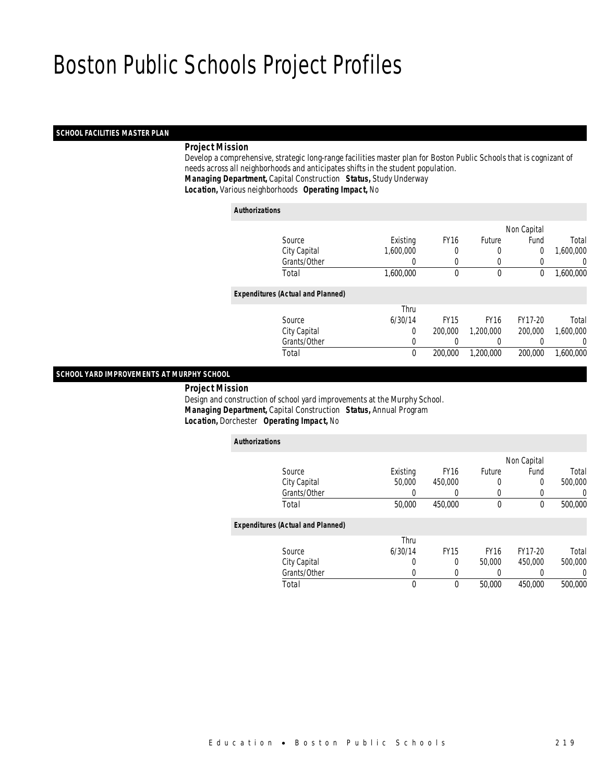### *SCHOOL FACILITIES MASTER PLAN*

## *Project Mission*

 Develop a comprehensive, strategic long-range facilities master plan for Boston Public Schools that is cognizant of needs across all neighborhoods and anticipates shifts in the student population. *Managing Department,* Capital Construction *Status,* Study Underway*Location,* Various neighborhoods *Operating Impact,* No

#### *Authorizations*

|                                          |           |             |               | Non Capital |           |
|------------------------------------------|-----------|-------------|---------------|-------------|-----------|
| Source                                   | Existing  | <b>FY16</b> | <b>Future</b> | Fund        | Total     |
| City Capital                             | 1,600,000 |             | 0             | 0           | 1,600,000 |
| Grants/Other                             | 0         |             |               |             | 0         |
| Total                                    | 1,600,000 | $\theta$    | $\mathbf 0$   | 0           | 1,600,000 |
| <b>Expenditures (Actual and Planned)</b> |           |             |               |             |           |
|                                          | Thru      |             |               |             |           |
| Source                                   | 6/30/14   | <b>FY15</b> | <b>FY16</b>   | FY17-20     | Total     |
| City Capital                             | 0         | 200,000     | 1,200,000     | 200,000     | 1,600,000 |
| Grants/Other                             | 0         |             | 0             |             | 0         |
| Total                                    | 0         | 200,000     | 1,200,000     | 200,000     | 1,600,000 |
|                                          |           |             |               |             |           |

## *SCHOOL YARD IMPROVEMENTS AT MURPHY SCHOOL*

*Project Mission*

 Design and construction of school yard improvements at the Murphy School. *Managing Department,* Capital Construction *Status,* Annual Program*Location,* Dorchester *Operating Impact,* No

| <b>Authorizations</b>                    |              |          |             |             |             |         |
|------------------------------------------|--------------|----------|-------------|-------------|-------------|---------|
|                                          |              |          |             |             | Non Capital |         |
|                                          | Source       | Existing | <b>FY16</b> | Future      | Fund        | Total   |
|                                          | City Capital | 50,000   | 450.000     | 0           | 0           | 500,000 |
|                                          | Grants/Other | $\left($ | 0           | 0           | 0           | 0       |
|                                          | Total        | 50,000   | 450,000     | 0           | 0           | 500,000 |
| <b>Expenditures (Actual and Planned)</b> |              |          |             |             |             |         |
|                                          |              | Thru     |             |             |             |         |
|                                          | Source       | 6/30/14  | <b>FY15</b> | <b>FY16</b> | FY17-20     | Total   |
|                                          | City Capital | 0        | 0           | 50,000      | 450,000     | 500,000 |
|                                          | Grants/Other | 0        | 0           |             |             | 0       |
|                                          | Total        | 0        | 0           | 50,000      | 450,000     | 500,000 |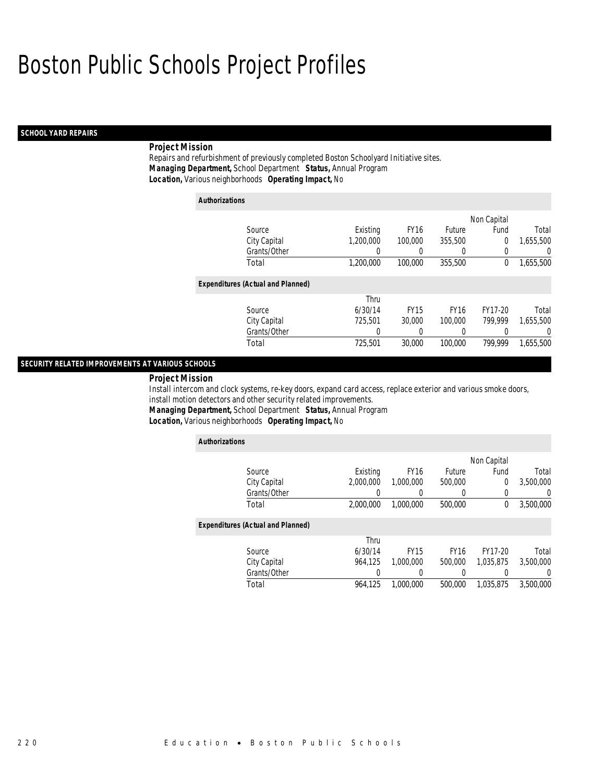### *SCHOOL YARD REPAIRS*

## *Project Mission*

Repairs and refurbishment of previously completed Boston Schoolyard Initiative sites. *Managing Department,* School Department *Status,* Annual Program*Location,* Various neighborhoods *Operating Impact,* No

| <b>Authorizations</b>                    |           |             |             |                |           |
|------------------------------------------|-----------|-------------|-------------|----------------|-----------|
|                                          |           |             |             | Non Capital    |           |
| Source                                   | Existing  | <b>FY16</b> | Future      | Fund           | Total     |
| City Capital                             | 1,200,000 | 100,000     | 355,500     | $\overline{0}$ | 1.655.500 |
| Grants/Other                             | 0         | 0           | 0           | 0              | 0         |
| Total                                    | 1,200,000 | 100,000     | 355,500     | 0              | 1,655,500 |
| <b>Expenditures (Actual and Planned)</b> |           |             |             |                |           |
|                                          | Thru      |             |             |                |           |
| Source                                   | 6/30/14   | <b>FY15</b> | <b>FY16</b> | FY17-20        | Total     |
| City Capital                             | 725.501   | 30,000      | 100,000     | 799.999        | 1.655.500 |
| Grants/Other                             | 0         | 0           | 0           |                | 0         |
| Total                                    | 725,501   | 30,000      | 100,000     | 799.999        | 1.655.500 |

## *SECURITY RELATED IMPROVEMENTS AT VARIOUS SCHOOLS*

#### *Project Mission*

Install intercom and clock systems, re-key doors, expand card access, replace exterior and various smoke doors, install motion detectors and other security related improvements.

*Managing Department,* School Department *Status,* Annual Program

*Location,* Various neighborhoods *Operating Impact,* No

| <b>Authorizations</b>                    |           |                  |             |             |                |
|------------------------------------------|-----------|------------------|-------------|-------------|----------------|
|                                          |           |                  |             | Non Capital |                |
| Source                                   | Existing  | <b>FY16</b>      | Future      | Fund        | Total          |
| City Capital                             | 2.000.000 | 1,000,000        | 500,000     | 0           | 3,500,000      |
| Grants/Other                             | 0         | 0                | 0           | 0           | $\overline{0}$ |
| Total                                    | 2,000,000 | 1,000,000        | 500,000     | $^{0}$      | 3,500,000      |
| <b>Expenditures (Actual and Planned)</b> |           |                  |             |             |                |
|                                          | Thru      |                  |             |             |                |
| Source                                   | 6/30/14   | <b>FY15</b>      | <b>FY16</b> | FY17-20     | Total          |
| City Capital                             | 964.125   | 1,000,000        | 500,000     | 1.035.875   | 3.500.000      |
| Grants/Other                             |           | $\left( \right)$ | 0           |             | $\Omega$       |
| Total                                    | 964,125   | 1.000.000        | 500,000     | 1.035.875   | 3,500,000      |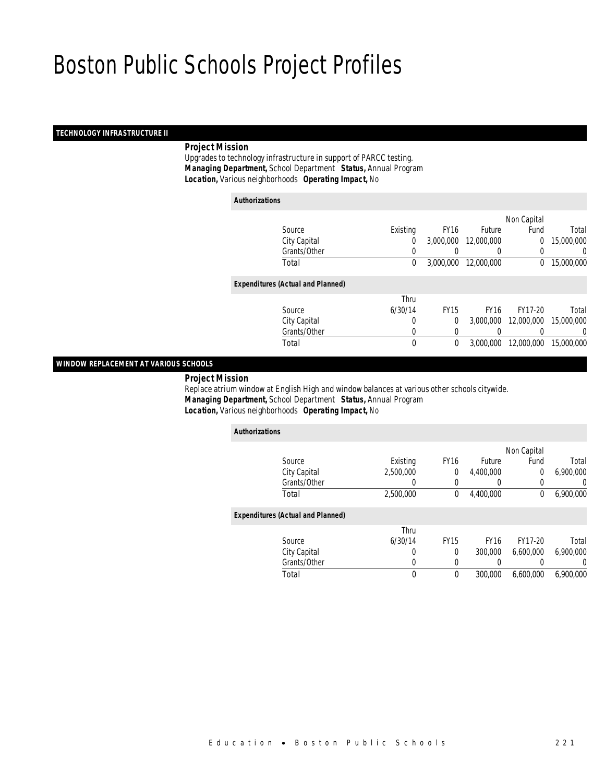### *TECHNOLOGY INFRASTRUCTURE II*

## *Project Mission*

 Upgrades to technology infrastructure in support of PARCC testing. *Managing Department,* School Department *Status,* Annual Program*Location,* Various neighborhoods *Operating Impact,* No

| <b>Authorizations</b>                    |          |             |             |             |            |
|------------------------------------------|----------|-------------|-------------|-------------|------------|
|                                          |          |             |             | Non Capital |            |
| Source                                   | Existing | <b>FY16</b> | Future      | Fund        | Total      |
| City Capital                             | 0        | 3,000,000   | 12,000,000  | 0           | 15,000,000 |
| Grants/Other                             | 0        |             | 0           | 0           | 0          |
| Total                                    | 0        | 3,000,000   | 12,000,000  | $\mathbf 0$ | 15,000,000 |
| <b>Expenditures (Actual and Planned)</b> |          |             |             |             |            |
|                                          | Thru     |             |             |             |            |
| Source                                   | 6/30/14  | <b>FY15</b> | <b>FY16</b> | FY17-20     | Total      |
| City Capital                             | 0        | 0           | 3,000,000   | 12,000,000  | 15,000,000 |
| Grants/Other                             | 0        | 0           | 0           | 0           | 0          |
| Total                                    | 0        | 0           | 3.000.000   | 12,000,000  | 15,000,000 |

## *WINDOW REPLACEMENT AT VARIOUS SCHOOLS*

*Project Mission*

 Replace atrium window at English High and window balances at various other schools citywide. *Managing Department,* School Department *Status,* Annual Program*Location,* Various neighborhoods *Operating Impact,* No

| <b>Authorizations</b>                    |           |             |             |             |           |
|------------------------------------------|-----------|-------------|-------------|-------------|-----------|
|                                          |           |             |             | Non Capital |           |
| Source                                   | Existing  | <b>FY16</b> | Future      | Fund        | Total     |
| City Capital                             | 2.500.000 | 0           | 4,400,000   | 0           | 6.900.000 |
| Grants/Other                             | 0         | 0           |             | 0           | 0         |
| Total                                    | 2,500,000 | 0           | 4,400,000   | 0           | 6,900,000 |
| <b>Expenditures (Actual and Planned)</b> |           |             |             |             |           |
|                                          | Thru      |             |             |             |           |
| Source                                   | 6/30/14   | <b>FY15</b> | <b>FY16</b> | FY17-20     | Total     |
| City Capital                             | 0         | $\Omega$    | 300,000     | 6.600.000   | 6.900.000 |
| Grants/Other                             | 0         | 0           |             |             | 0         |
| Total                                    | 0         | $\theta$    | 300,000     | 6,600,000   | 6.900.000 |